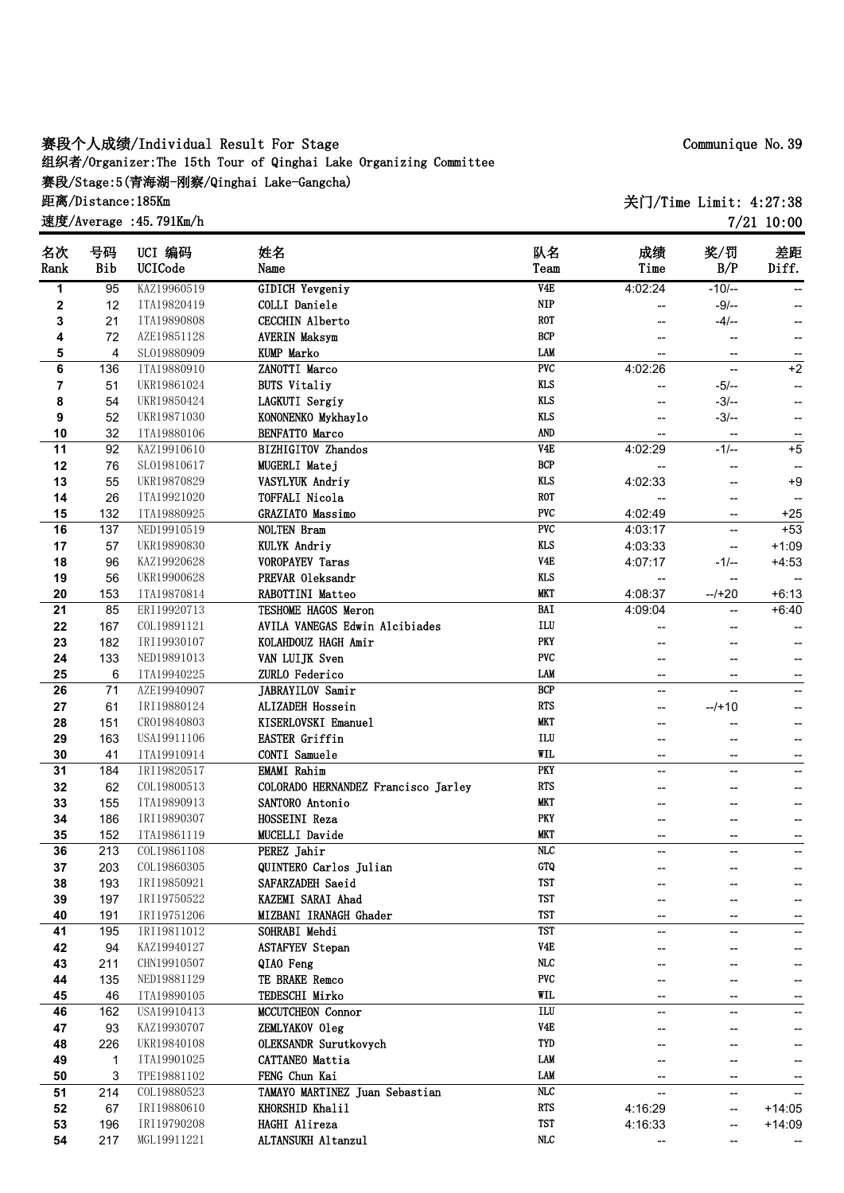## **赛段个人成绩/Individual Result For Stage 组织者/Organizer:The 15th Tour of Qinghai Lake Organizing Committee 赛段/Stage:5(青海湖-刚察/Qinghai Lake-Gangcha) 距离/Distance:185Km**

**速度/Average :45.791Km/h**

**关门/Time Limit: 4:27:38 7/21 10:00**

| 名次   | 号码  | UCI 编码      | 姓名                                    | 队名                      | 成绩                       | 奖/罚                      | 差距                       |
|------|-----|-------------|---------------------------------------|-------------------------|--------------------------|--------------------------|--------------------------|
| Rank | Bib | UCICode     | Name                                  | Team                    | Time                     | B/P                      | Diff.                    |
| 1    | 95  | KAZ19960519 | <b>GIDICH Yevgeniy</b>                | V4E                     | 4:02:24                  | $-10/-$                  | ۰.                       |
| 2    | 12  | ITA19820419 | COLLI Daniele                         | <b>NIP</b>              |                          | $-9/-$                   | ÷                        |
| 3    | 21  | ITA19890808 | <b>CECCHIN Alberto</b>                | <b>ROT</b>              | --                       | $-4/-$                   | ÷                        |
| 4    | 72  | AZE19851128 | <b>AVERIN Maksym</b>                  | <b>BCP</b>              |                          | $\overline{\phantom{m}}$ | ÷                        |
| 5    | 4   | SL019880909 | <b>KUMP Marko</b>                     | LAM                     | --                       | --                       | --                       |
| 6    | 136 | ITA19880910 | ZANOTTI Marco                         | $\overline{\text{PVC}}$ | 4:02:26                  | $\overline{\phantom{a}}$ | $+2$                     |
| 7    | 51  | UKR19861024 | <b>BUTS Vitaliy</b>                   | <b>KLS</b>              | --                       | $-5/-$                   | ÷                        |
| 8    | 54  | UKR19850424 | LAGKUTI Sergiy                        | <b>KLS</b>              | --                       | $-3/-$                   | ÷                        |
| 9    | 52  | UKR19871030 | KONONENKO Mykhaylo                    | <b>KLS</b>              | --                       | $-3/-$                   | ÷                        |
| 10   | 32  | ITA19880106 | <b>BENFATTO Marco</b>                 | <b>AND</b>              |                          |                          |                          |
| 11   | 92  | KAZ19910610 | <b>BIZHIGITOV Zhandos</b>             | V4E                     | 4:02:29                  | $-1/-$                   | $+5$                     |
| 12   | 76  | SL019810617 | MUGERLI Matej                         | <b>BCP</b>              |                          |                          |                          |
| 13   | 55  | UKR19870829 | VASYLYUK Andriy                       | <b>KLS</b>              | 4:02:33                  |                          | $+9$                     |
| 14   | 26  | ITA19921020 | TOFFALI Nicola                        | <b>ROT</b>              |                          | --                       | --                       |
| 15   | 132 | ITA19880925 | <b>GRAZIATO Massimo</b>               | <b>PVC</b>              | 4:02:49                  | --                       | $+25$                    |
| 16   | 137 | NED19910519 | NOLTEN Bram                           | PVC                     | 4:03:17                  | $\overline{\phantom{a}}$ | $+53$                    |
| 17   | 57  | UKR19890830 | KULYK Andriy                          | <b>KLS</b>              | 4:03:33                  | --                       | $+1:09$                  |
| 18   | 96  | KAZ19920628 | <b>VOROPAYEV Taras</b>                | V <sub>4E</sub>         | 4:07:17                  | $-1/-$                   | $+4:53$                  |
| 19   | 56  | UKR19900628 | PREVAR Oleksandr                      | <b>KLS</b>              |                          |                          |                          |
| 20   | 153 | ITA19870814 | RABOTTINI Matteo                      | <b>MKT</b>              | --<br>4:08:37            | $-1+20$                  | ۰.<br>$+6:13$            |
|      |     | ERI19920713 | TESHOME HAGOS Meron                   | <b>BAI</b>              | 4:09:04                  |                          |                          |
| 21   | 85  |             | <b>AVILA VANEGAS Edwin Alcibiades</b> | $\mathbf{ILU}$          |                          | --                       | $+6:40$                  |
| 22   | 167 | COL19891121 |                                       | <b>PKY</b>              |                          | --                       |                          |
| 23   | 182 | IRI19930107 | KOLAHDOUZ HAGH Amir                   | <b>PVC</b>              |                          |                          |                          |
| 24   | 133 | NED19891013 | VAN LUIJK Sven                        |                         |                          |                          | ÷                        |
| 25   | 6   | ITA19940225 | ZURLO Federico                        | <b>LAM</b>              | $\overline{\phantom{m}}$ | $\overline{\phantom{a}}$ | ÷                        |
| 26   | 71  | AZE19940907 | JABRAYILOV Samir                      | BCP                     | $\overline{a}$           | $\overline{\phantom{a}}$ | --                       |
| 27   | 61  | IRI19880124 | ALIZADEH Hossein                      | <b>RTS</b>              | $-$                      | $-1+10$                  | --                       |
| 28   | 151 | CR019840803 | KISERLOVSKI Emanuel                   | <b>MKT</b>              |                          |                          | --                       |
| 29   | 163 | USA19911106 | <b>EASTER Griffin</b>                 | $\mathbf{ILU}$          | --                       | --                       | --                       |
| 30   | 41  | ITA19910914 | CONTI Samuele                         | WIL                     | --                       | --                       | $\overline{\phantom{a}}$ |
| 31   | 184 | IRI19820517 | <b>EMAMI</b> Rahim                    | PKY                     | --                       | --                       | --                       |
| 32   | 62  | COL19800513 | COLORADO HERNANDEZ Francisco Jarley   | <b>RTS</b>              |                          | --                       |                          |
| 33   | 155 | ITA19890913 | SANTORO Antonio                       | <b>MKT</b>              |                          |                          | −-                       |
| 34   | 186 | IRI19890307 | HOSSEINI Reza                         | PKY                     |                          | -−                       | --                       |
| 35   | 152 | ITA19861119 | <b>MUCELLI</b> Davide                 | <b>MKT</b>              | --                       | $\overline{\phantom{a}}$ | $\overline{\phantom{a}}$ |
| 36   | 213 | COL19861108 | PEREZ Jahir                           | $\overline{\text{NLC}}$ | --                       | $\overline{\phantom{a}}$ | ÷                        |
| 37   | 203 | COL19860305 | QUINTERO Carlos Julian                | <b>GTQ</b>              | --                       |                          | ÷                        |
| 38   | 193 | IRI19850921 | SAFARZADEH Saeid                      | <b>TST</b>              |                          |                          |                          |
| 39   | 197 | IRI19750522 | KAZEMI SARAI Ahad                     | <b>TST</b>              |                          |                          |                          |
| 40   | 191 | IRI19751206 | MIZBANI IRANAGH Ghader                | <b>TST</b>              |                          |                          | ÷                        |
| 41   | 195 | IRI19811012 | SOHRABI Mehdi                         | <b>TST</b>              | $\overline{\phantom{0}}$ | $-$                      | --                       |
| 42   | 94  | KAZ19940127 | <b>ASTAFYEV Stepan</b>                | V <sub>4E</sub>         |                          |                          |                          |
| 43   | 211 | CHN19910507 | QIAO Feng                             | <b>NLC</b>              | --                       | --                       |                          |
| 44   | 135 | NED19881129 | TE BRAKE Remco                        | <b>PVC</b>              | --                       | --                       | --                       |
| 45   | 46  | ITA19890105 | TEDESCHI Mirko                        | <b>WIL</b>              | --                       | --                       |                          |
| 46   | 162 | USA19910413 | MCCUTCHEON Connor                     | ILU                     | --                       | --                       | −-                       |
| 47   | 93  | KAZ19930707 | ZEMLYAKOV Oleg                        | V <sub>4E</sub>         |                          | --                       | --                       |
| 48   | 226 | UKR19840108 | OLEKSANDR Surutkovych                 | TYD                     |                          | --                       |                          |
| 49   | 1   | ITA19901025 | CATTANEO Mattia                       | LAM                     |                          | --                       |                          |
| 50   | 3   | TPE19881102 | FENG Chun Kai                         | <b>LAM</b>              |                          |                          | --                       |
|      | 214 | COL19880523 | TAMAYO MARTINEZ Juan Sebastian        | MLC                     |                          | --                       |                          |
| 51   |     |             | KHORSHID Khalil                       | <b>RTS</b>              |                          | --                       | --                       |
| 52   | 67  | IRI19880610 |                                       |                         | 4:16:29                  | --                       | $+14:05$                 |
| 53   | 196 | IRI19790208 | HAGHI Alireza                         | TST                     | 4:16:33                  | --                       | $+14:09$                 |
| 54   | 217 | MGL19911221 | ALTANSUKH Altanzul                    | $\rm NLC$               |                          | --                       |                          |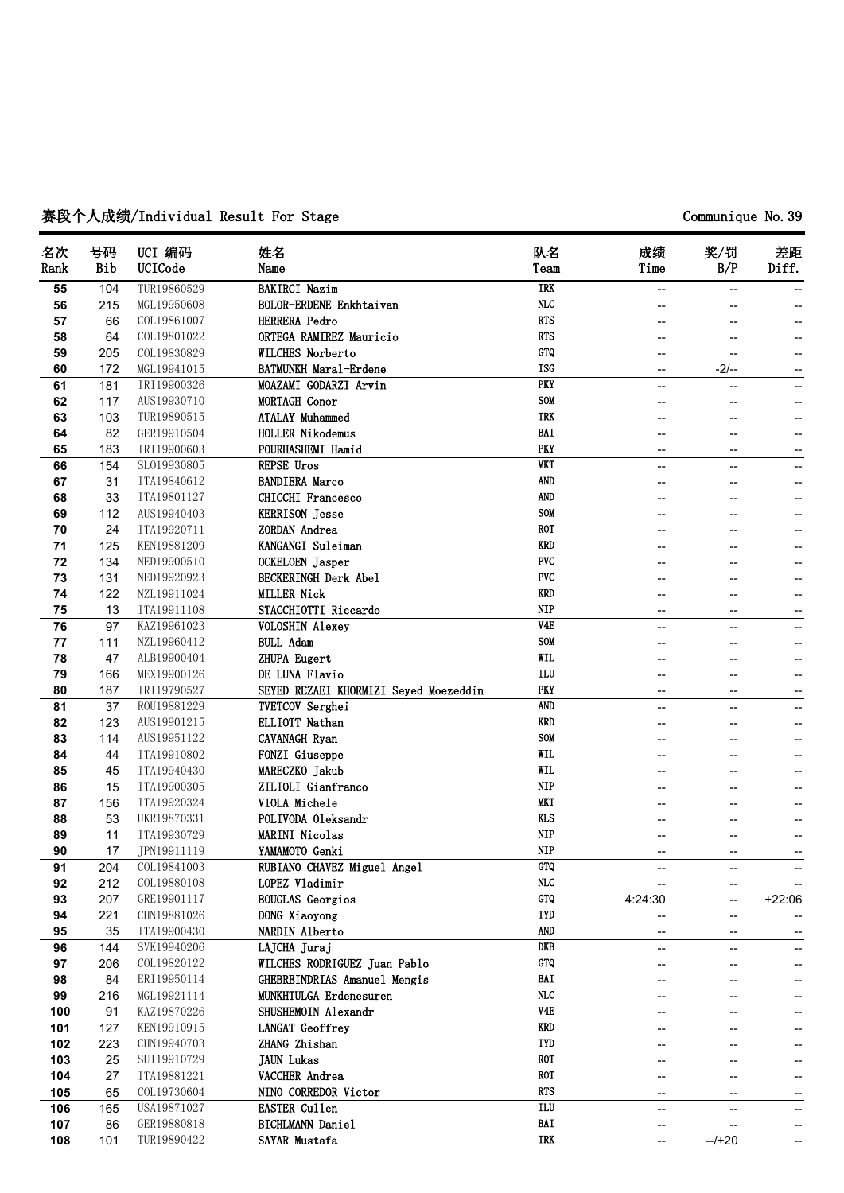# **赛段个人成绩/Individual Result For Stage Communique No.39**

| 名次<br>Rank | 号码<br>Bib | UCI 编码<br>UCICode | 姓名<br>Name                            | 队名<br>Team              | 成绩<br>Time               | 奖/罚<br>B/P        | 差距<br>Diff.       |
|------------|-----------|-------------------|---------------------------------------|-------------------------|--------------------------|-------------------|-------------------|
| 55         | 104       | TUR19860529       | <b>BAKIRCI Nazim</b>                  | <b>TRK</b>              | --                       | --                | --                |
| 56         | 215       | MGL19950608       | BOLOR-ERDENE Enkhtaivan               | $\overline{\text{NLC}}$ |                          |                   |                   |
| 57         | 66        | COL19861007       | HERRERA Pedro                         | <b>RTS</b>              |                          |                   |                   |
| 58         | 64        | COL19801022       | ORTEGA RAMIREZ Mauricio               | <b>RTS</b>              |                          |                   |                   |
| 59         | 205       | COL19830829       | <b>WILCHES Norberto</b>               | GTQ                     |                          | --                |                   |
| 60         | 172       | MGL19941015       | <b>BATMUNKH Maral-Erdene</b>          | <b>TSG</b>              | $\overline{\phantom{a}}$ | $-2/-$            | --                |
| 61         | 181       | IRI19900326       | MOAZAMI GODARZI Arvin                 | PKY                     | --                       |                   | $\qquad \qquad -$ |
| 62         | 117       | AUS19930710       | MORTAGH Conor                         | SOM                     |                          |                   |                   |
| 63         | 103       | TUR19890515       | <b>ATALAY Muhammed</b>                | <b>TRK</b>              |                          |                   |                   |
| 64         | 82        | GER19910504       | <b>HOLLER Nikodemus</b>               | BAI                     |                          | --                |                   |
| 65         | 183       | IRI19900603       | POURHASHEMI Hamid                     | <b>PKY</b>              | --                       | --                | --                |
| 66         | 154       | SL019930805       | REPSE Uros                            | <b>MKT</b>              |                          | --                | $\qquad \qquad -$ |
| 67         | 31        | ITA19840612       | <b>BANDIERA Marco</b>                 | AND                     |                          |                   |                   |
| 68         | 33        | ITA19801127       | <b>CHICCHI Francesco</b>              | <b>AND</b>              |                          |                   |                   |
| 69         | 112       | AUS19940403       | <b>KERRISON Jesse</b>                 | SOM                     |                          | --                | $- -$             |
| 70         | 24        | ITA19920711       | ZORDAN Andrea                         | <b>ROT</b>              |                          | --                |                   |
| 71         | 125       | KEN19881209       | KANGANGI Suleiman                     | <b>KRD</b>              | $\overline{a}$           | ۵.                |                   |
| 72         | 134       | NED19900510       | OCKELOEN Jasper                       | <b>PVC</b>              |                          |                   |                   |
| 73         | 131       | NED19920923       | <b>BECKERINGH Derk Abel</b>           | <b>PVC</b>              |                          |                   |                   |
| 74         | 122       | NZL19911024       | <b>MILLER Nick</b>                    | KRD                     |                          | --                | --                |
| 75         | 13        | ITA19911108       | STACCHIOTTI Riccardo                  | <b>NIP</b>              |                          | --                |                   |
| 76         | 97        | KAZ19961023       | <b>VOLOSHIN Alexey</b>                | V4E                     | Щ,                       | --                |                   |
| 77         | 111       | NZL19960412       | <b>BULL Adam</b>                      | <b>SOM</b>              |                          |                   |                   |
| 78         | 47        | ALB19900404       | ZHUPA Eugert                          | WIL                     |                          | --                | --                |
| 79         | 166       | MEX19900126       | DE LUNA Flavio                        | ILU                     |                          |                   |                   |
| 80         | 187       | IRI19790527       | SEYED REZAEI KHORMIZI Seyed Moezeddin | <b>PKY</b>              | --                       | --                |                   |
| 81         | 37        | ROU19881229       | <b>TVETCOV Serghei</b>                | <b>AND</b>              |                          |                   |                   |
| 82         | 123       | AUS19901215       | ELLIOTT Nathan                        | <b>KRD</b>              |                          | --                | --                |
| 83         | 114       | AUS19951122       | CAVANAGH Ryan                         | <b>SOM</b>              |                          | --                | --                |
| 84         | 44        | ITA19910802       | <b>FONZI</b> Giuseppe                 | WIL                     |                          |                   | --                |
| 85         | 45        | ITA19940430       | MARECZKO Jakub                        | <b>WIL</b>              | --                       | --                |                   |
| 86         | 15        | ITA19900305       | ZILIOLI Gianfranco                    | <b>NIP</b>              |                          | --                | $\qquad \qquad -$ |
| 87         | 156       | ITA19920324       | VIOLA Michele                         | <b>MKT</b>              |                          | --                | --                |
| 88         | 53        | UKR19870331       | POLIVODA Oleksandr                    | <b>KLS</b>              |                          | --                |                   |
| 89         | 11        | ITA19930729       | <b>MARINI Nicolas</b>                 | <b>NIP</b>              |                          |                   |                   |
| 90         | 17        | JPN19911119       | YAMAMOTO Genki                        | <b>NIP</b>              |                          |                   |                   |
| 91         | 204       | COL19841003       | RUBIANO CHAVEZ Miguel Angel           | <b>GTQ</b>              |                          |                   |                   |
| 92         | 212       | COL19880108       | LOPEZ Vladimir                        | NLC                     |                          | --                |                   |
| 93         | 207       | GRE19901117       | <b>BOUGLAS</b> Georgios               | GTQ                     | 4:24:30                  | --                | $+22:06$          |
| 94         | 221       | CHN19881026       | DONG Xiaoyong                         | TYD                     |                          | $\qquad \qquad -$ | $\qquad \qquad -$ |
| 95         | 35        | ITA19900430       | NARDIN Alberto                        | AND                     |                          | --                | $\qquad \qquad -$ |
| 96         | 144       | SVK19940206       | LAJCHA Juraj                          | <b>DKB</b>              | --                       | --                | --                |
| 97         | 206       | COL19820122       | WILCHES RODRIGUEZ Juan Pablo          | GTQ                     |                          | --                | --                |
| 98         | 84        | ERI19950114       | GHEBREINDRIAS Amanuel Mengis          | BAI                     |                          |                   | --                |
| 99         | 216       | MGL19921114       | MUNKHTULGA Erdenesuren                | MLC                     |                          |                   |                   |
| 100        | 91        | KAZ19870226       | SHUSHEMOIN Alexandr                   | V4E                     |                          | --                |                   |
| 101        | 127       | KEN19910915       | LANGAT Geoffrey                       | <b>KRD</b>              |                          | --                | --                |
| 102        | 223       | CHN19940703       | ZHANG Zhishan                         | TYD                     |                          |                   | $\qquad \qquad -$ |
| 103        | 25        | SUI19910729       | <b>JAUN</b> Lukas                     | <b>ROT</b>              |                          |                   | --                |
| 104        | 27        | ITA19881221       | VACCHER Andrea                        | <b>ROT</b>              |                          |                   | $\qquad \qquad -$ |
| 105        | 65        | COL19730604       | NINO CORREDOR Victor                  | <b>RTS</b>              | -−                       | --                |                   |
| 106        | 165       | USA19871027       | <b>EASTER Cullen</b>                  | ILU                     | --                       | --                | --<br>--          |
| 107        | 86        | GER19880818       | <b>BICHLMANN Daniel</b>               | BAI                     |                          |                   |                   |
| 108        |           | TUR19890422       | SAYAR Mustafa                         | TRK                     |                          | $-1+20$           | --                |
|            | 101       |                   |                                       |                         | --                       |                   |                   |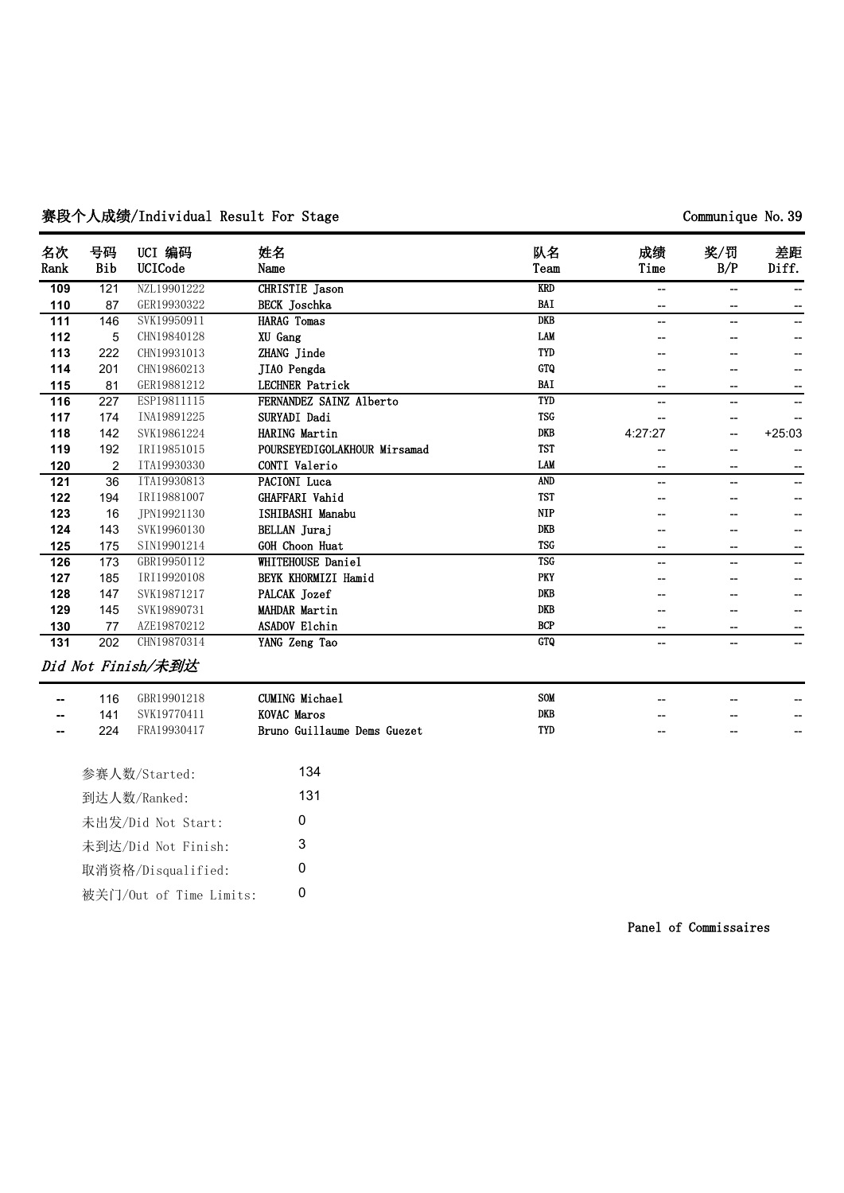# 赛段个人成绩/Individual Result For Stage **Communique No.39**

| 名次<br>Rank | 号码<br>Bib | UCI 编码<br>UCICode  | 姓名<br>Name                   | 队名<br>Team | 成绩<br>Time | 奖/罚<br>B/P | 差距<br>Diff. |
|------------|-----------|--------------------|------------------------------|------------|------------|------------|-------------|
| 109        | 121       | NZL19901222        | <b>CHRISTIE</b> Jason        | <b>KRD</b> | --         | --         |             |
| 110        | 87        | GER19930322        | <b>BECK</b> Joschka          | BAI        |            |            |             |
| 111        | 146       | SVK19950911        | <b>HARAG</b> Tomas           | <b>DKB</b> |            |            |             |
| 112        | 5         | CHN19840128        | XU Gang                      | <b>LAM</b> |            |            |             |
| 113        | 222       | CHN19931013        | ZHANG Jinde                  | TYD        |            |            |             |
| 114        | 201       | CHN19860213        | JIAO Pengda                  | GTQ        |            |            |             |
| 115        | 81        | GER19881212        | <b>LECHNER Patrick</b>       | BAI        |            |            |             |
| 116        | 227       | ESP19811115        | FERNANDEZ SAINZ Alberto      | TYD        | --         | --         |             |
| 117        | 174       | INA19891225        | SURYADI Dadi                 | <b>TSG</b> |            |            |             |
| 118        | 142       | SVK19861224        | HARING Martin                | <b>DKB</b> | 4:27:27    |            | $+25:03$    |
| 119        | 192       | IRI19851015        | POURSEYEDIGOLAKHOUR Mirsamad | <b>TST</b> |            |            |             |
| 120        | 2         | ITA19930330        | CONTI Valerio                | <b>LAM</b> |            |            |             |
| 121        | 36        | ITA19930813        | PACIONI Luca                 | <b>AND</b> |            |            |             |
| 122        | 194       | IRI19881007        | GHAFFARI Vahid               | <b>TST</b> |            |            |             |
| 123        | 16        | TPN19921130        | ISHIBASHI Manabu             | <b>NIP</b> |            |            |             |
| 124        | 143       | SVK19960130        | BELLAN Juraj                 | <b>DKB</b> |            |            |             |
| 125        | 175       | SIN19901214        | GOH Choon Huat               | <b>TSG</b> | --         | --         |             |
| 126        | 173       | GBR19950112        | WHITEHOUSE Daniel            | <b>TSG</b> | --         | --         | --          |
| 127        | 185       | IRI19920108        | BEYK KHORMIZI Hamid          | PKY        |            |            |             |
| 128        | 147       | SVK19871217        | PALCAK Jozef                 | <b>DKB</b> |            |            |             |
| 129        | 145       | SVK19890731        | <b>MAHDAR Martin</b>         | <b>DKB</b> |            |            |             |
| 130        | 77        | AZE19870212        | <b>ASADOV Elchin</b>         | <b>BCP</b> |            |            |             |
| 131        | 202       | CHN19870314        | YANG Zeng Tao                | <b>GTQ</b> |            | $-$        |             |
|            |           | Did Not Finish/未到达 |                              |            |            |            |             |

| $\sim$ | 16   | GBR19901218 | CUMING Michael              | SOM | $- -$ | $- -$ | -- |
|--------|------|-------------|-----------------------------|-----|-------|-------|----|
| $\sim$ | 141  | SVK19770411 | KOVAC Maros                 | DKB | $- -$ | $- -$ | -- |
| $\sim$ | 224. | FRA19930417 | Bruno Guillaume Dems Guezet | TYD | $- -$ | $- -$ | -- |

| 参赛人数/Started:           | 134 |
|-------------------------|-----|
| 到达人数/Ranked:            | 131 |
| 未出发/Did Not Start:      | O   |
| 未到达/Did Not Finish:     | 3   |
| 取消资格/Disqualified:      | ŋ   |
| 被关门/Out of Time Limits: | O   |

**Panel of Commissaires**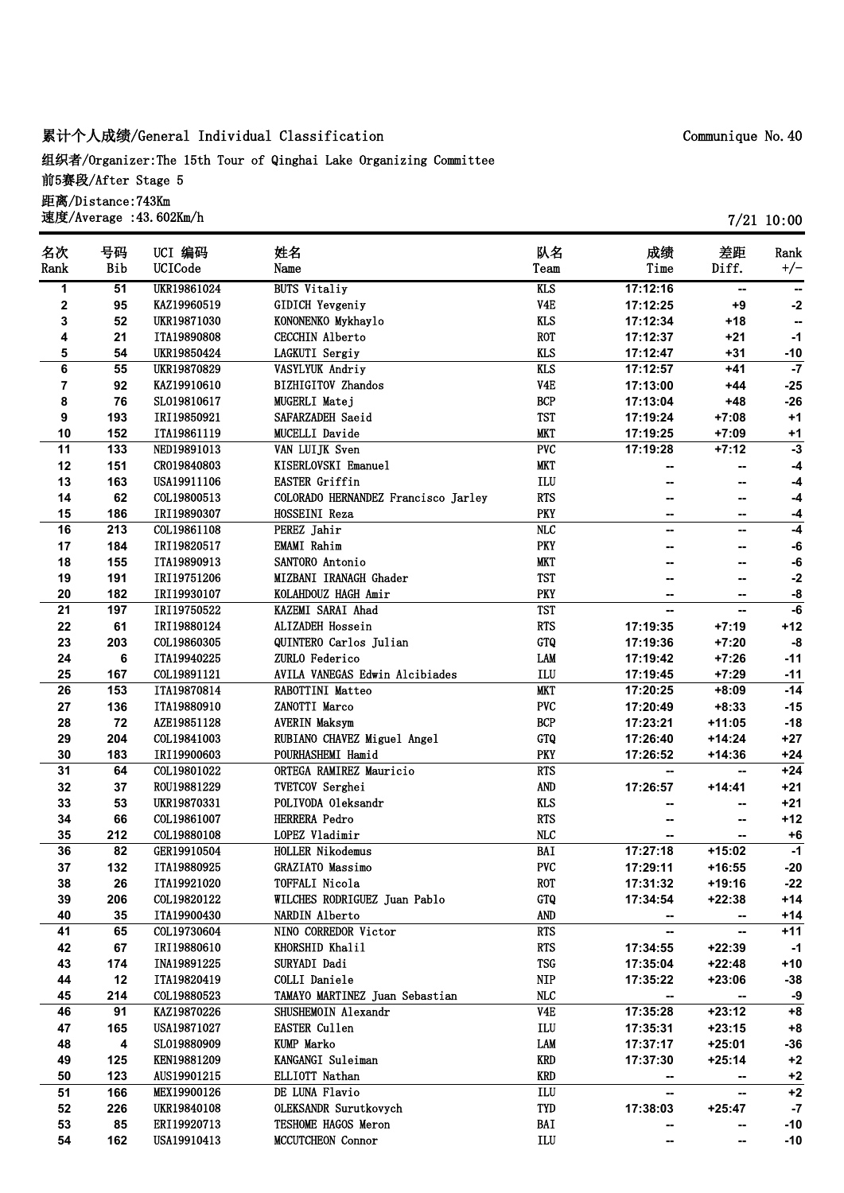# **累计个人成绩/General Individual Classification**

**组织者/Organizer:The 15th Tour of Qinghai Lake Organizing Committee 前5赛段/After Stage 5 距离/Distance:743Km 速度/Average :43.602Km/h**

| 名次                      | 号码  | UCI 编码             | 姓名                                  | 队名                            | 成绩                       | 差距       | Rank  |
|-------------------------|-----|--------------------|-------------------------------------|-------------------------------|--------------------------|----------|-------|
| Rank                    | Bib | UCICode            | Name                                | Team                          | Time                     | Diff.    | $+/-$ |
| 1                       | 51  | <b>UKR19861024</b> | <b>BUTS Vitaliy</b>                 | <b>KLS</b>                    | 17:12:16                 | --       |       |
| $\mathbf 2$             | 95  | KAZ19960519        | <b>GIDICH Yevgeniy</b>              | V <sub>4</sub> E              | 17:12:25                 | $+9$     | $-2$  |
| 3                       | 52  | UKR19871030        | KONONENKO Mykhaylo                  | <b>KLS</b>                    | 17:12:34                 | $+18$    | --    |
| 4                       | 21  | ITA19890808        | <b>CECCHIN Alberto</b>              | <b>ROT</b>                    | 17:12:37                 | $+21$    | $-1$  |
| 5                       | 54  | UKR19850424        | LAGKUTI Sergiy                      | <b>KLS</b>                    | 17:12:47                 | $+31$    | $-10$ |
| 6                       | 55  | UKR19870829        | VASYLYUK Andriy                     | <b>KLS</b>                    | 17:12:57                 | $+41$    | $-7$  |
| $\overline{\mathbf{r}}$ | 92  | KAZ19910610        | <b>BIZHIGITOV Zhandos</b>           | V <sub>4E</sub>               | 17:13:00                 | $+44$    | $-25$ |
| 8                       | 76  | SL019810617        | MUGERLI Matej                       | $\ensuremath{\mathsf{BCP}}$   | 17:13:04                 | $+48$    | $-26$ |
| 9                       | 193 | IRI19850921        | SAFARZADEH Saeid                    | <b>TST</b>                    | 17:19:24                 | $+7:08$  | $+1$  |
| 10                      | 152 | ITA19861119        | MUCELLI Davide                      | <b>MKT</b>                    | 17:19:25                 | $+7:09$  | $+1$  |
| 11                      | 133 | NED19891013        | VAN LUIJK Sven                      | PVC                           | 17:19:28                 | $+7:12$  | $-3$  |
| 12                      | 151 | CR019840803        | KISERLOVSKI Emanuel                 | <b>MKT</b>                    |                          |          | $-4$  |
| 13                      | 163 | USA19911106        | <b>EASTER Griffin</b>               | $\mathop{\rm ILU}\nolimits$   |                          |          | $-4$  |
| 14                      | 62  | COL19800513        | COLORADO HERNANDEZ Francisco Jarley | <b>RTS</b>                    |                          | --       | $-4$  |
| 15                      | 186 | IRI19890307        | HOSSEINI Reza                       | <b>PKY</b>                    | −−                       | −−       | $-4$  |
| 16                      | 213 | COL19861108        | PEREZ Jahir                         | $\overline{\text{NLC}}$       | --                       | --       | $-4$  |
| 17                      | 184 | IRI19820517        | <b>EMAMI</b> Rahim                  | <b>PKY</b>                    | --                       |          | -6    |
| 18                      | 155 | ITA19890913        | SANTORO Antonio                     | <b>MKT</b>                    |                          |          | $-6$  |
| 19                      | 191 | IRI19751206        | MIZBANI IRANAGH Ghader              | <b>TST</b>                    | --                       |          | $-2$  |
| 20                      | 182 | IRI19930107        | KOLAHDOUZ HAGH Amir                 | PKY                           | --                       | --       | -8    |
| 21                      | 197 | IRI19750522        | KAZEMI SARAI Ahad                   | <b>TST</b>                    | --                       | --       | $-6$  |
| 22                      | 61  | IRI19880124        | ALIZADEH Hossein                    | <b>RTS</b>                    | 17:19:35                 | $+7:19$  | $+12$ |
| 23                      | 203 | COL19860305        | QUINTERO Carlos Julian              | GTQ                           | 17:19:36                 | $+7:20$  | -8    |
| 24                      | 6   | ITA19940225        | ZURLO Federico                      | <b>LAM</b>                    | 17:19:42                 | $+7:26$  | $-11$ |
| 25                      | 167 | COL19891121        | AVILA VANEGAS Edwin Alcibiades      | $\mathbf{ILU}$                | 17:19:45                 | $+7:29$  | $-11$ |
| 26                      | 153 | ITA19870814        | RABOTTINI Matteo                    | <b>MKT</b>                    | 17:20:25                 | $+8:09$  | $-14$ |
| 27                      | 136 | ITA19880910        | ZANOTTI Marco                       | <b>PVC</b>                    | 17:20:49                 | $+8:33$  | $-15$ |
| 28                      | 72  | AZE19851128        | <b>AVERIN Maksym</b>                | BCP                           | 17:23:21                 | $+11:05$ | $-18$ |
| 29                      | 204 | COL19841003        | RUBIANO CHAVEZ Miguel Angel         | ${\rm G} {\rm T} {\mathbb Q}$ | 17:26:40                 | $+14:24$ | $+27$ |
| 30                      | 183 | IRI19900603        | POURHASHEMI Hamid                   | PKY                           | 17:26:52                 | $+14:36$ | $+24$ |
| 31                      | 64  | COL19801022        | ORTEGA RAMIREZ Mauricio             | <b>RTS</b>                    | ۰.                       | --       | $+24$ |
| 32                      | 37  | ROU19881229        | TVETCOV Serghei                     | AND                           | 17:26:57                 | $+14:41$ | $+21$ |
| 33                      | 53  | UKR19870331        | POLIVODA Oleksandr                  | <b>KLS</b>                    |                          |          | $+21$ |
| 34                      | 66  | COL19861007        | HERRERA Pedro                       | <b>RTS</b>                    |                          |          | $+12$ |
| 35                      | 212 | COL19880108        | LOPEZ Vladimir                      | MLC                           |                          |          | $+6$  |
| 36                      | 82  | GER19910504        | HOLLER Nikodemus                    | BAI                           | 17:27:18                 | $+15:02$ | $-1$  |
| 37                      | 132 | ITA19880925        | <b>GRAZIATO Massimo</b>             | <b>PVC</b>                    | 17:29:11                 | $+16:55$ | $-20$ |
| 38                      | 26  | ITA19921020        | TOFFALI Nicola                      | <b>ROT</b>                    | 17:31:32                 | $+19:16$ | $-22$ |
| 39                      | 206 | COL19820122        | WILCHES RODRIGUEZ Juan Pablo        | GTQ                           | 17:34:54                 | $+22:38$ | $+14$ |
| 40                      | 35  | ITA19900430        | NARDIN Alberto                      | AND                           |                          |          | $+14$ |
| 41                      | 65  | COL19730604        | NINO CORREDOR Victor                | <b>RTS</b>                    | $\overline{\phantom{a}}$ | ⊷<br>--  | $+11$ |
|                         |     | IRI19880610        | KHORSHID Khalil                     | <b>RTS</b>                    |                          |          |       |
| 42                      | 67  |                    |                                     | <b>TSG</b>                    | 17:34:55                 | $+22:39$ | $-1$  |
| 43                      | 174 | INA19891225        | SURYADI Dadi                        |                               | 17:35:04                 | $+22:48$ | $+10$ |
| 44                      | 12  | ITA19820419        | COLLI Daniele                       | <b>NIP</b>                    | 17:35:22                 | $+23:06$ | $-38$ |
| 45                      | 214 | COL19880523        | TAMAYO MARTINEZ Juan Sebastian      | <b>NLC</b>                    |                          |          | -9    |
| 46                      | 91  | KAZ19870226        | SHUSHEMOIN Alexandr                 | V4E                           | 17:35:28                 | $+23:12$ | $+8$  |
| 47                      | 165 | USA19871027        | <b>EASTER Cullen</b>                | ILU                           | 17:35:31                 | $+23:15$ | $+8$  |
| 48                      | 4   | SL019880909        | <b>KUMP Marko</b>                   | LAM                           | 17:37:17                 | $+25:01$ | $-36$ |
| 49                      | 125 | KEN19881209        | KANGANGI Suleiman                   | KRD                           | 17:37:30                 | $+25:14$ | $+2$  |
| 50                      | 123 | AUS19901215        | ELLIOTT Nathan                      | <b>KRD</b>                    | $\sim$                   | --       | $+2$  |
| 51                      | 166 | MEX19900126        | DE LUNA Flavio                      | ILU                           |                          |          | $+2$  |
| 52                      | 226 | UKR19840108        | OLEKSANDR Surutkovych               | TYD                           | 17:38:03                 | $+25:47$ | $-7$  |
| 53                      | 85  | ERI19920713        | TESHOME HAGOS Meron                 | BAI                           |                          |          | $-10$ |
| 54                      | 162 | USA19910413        | MCCUTCHEON Connor                   | $\mathbf{ILU}$                |                          |          | $-10$ |

**Communique No.40**

**7/21 10:00**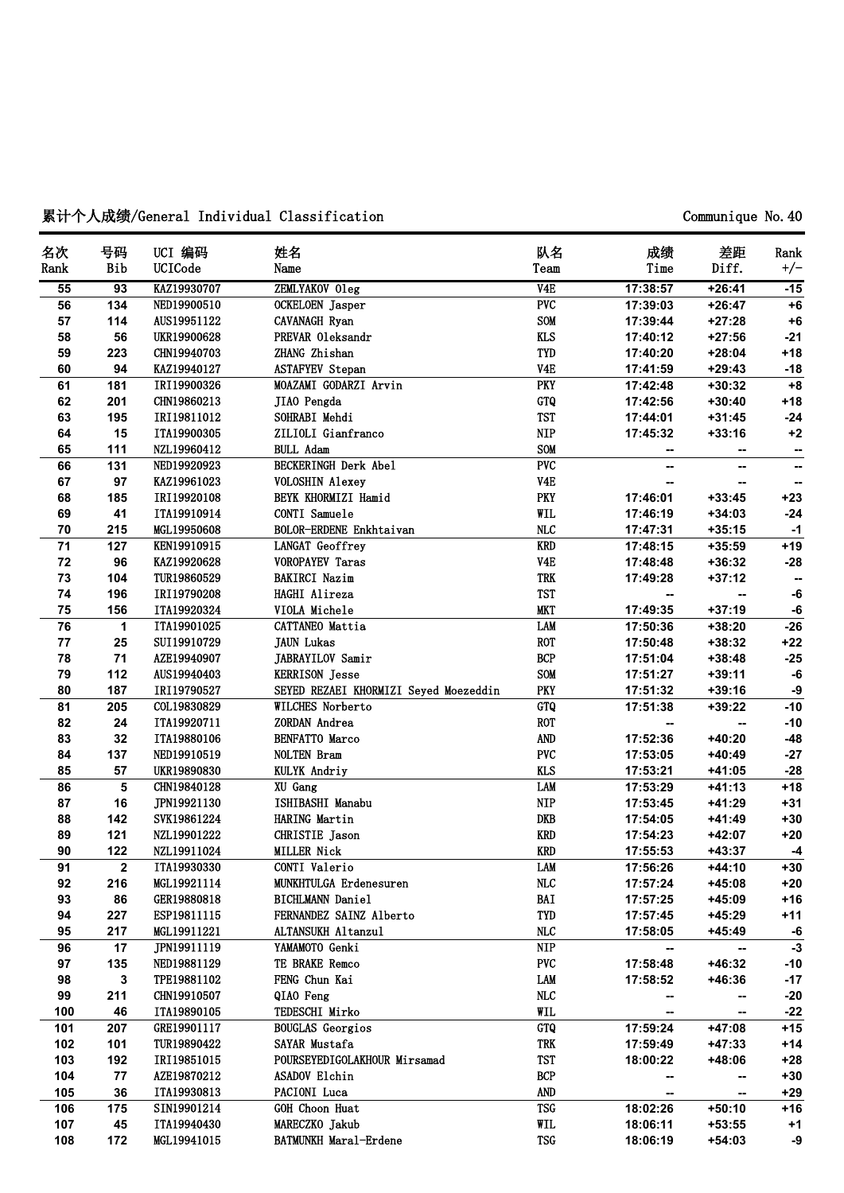# **累计个人成绩/General Individual Classification Communique No.40**

| 名次     | 号码              | UCI 编码      | 姓名                                    | 队名               | 成绩       | 差距       | Rank  |
|--------|-----------------|-------------|---------------------------------------|------------------|----------|----------|-------|
| Rank   | Bib             | UCICode     | Name                                  | Team             | Time     | Diff.    | $+/-$ |
| 55     | $\overline{93}$ | KAZ19930707 | ZEMLYAKOV Oleg                        | V4E              | 17:38:57 | $+26:41$ | $-15$ |
| 56     | 134             | NED19900510 | OCKELOEN Jasper                       | PVC              | 17:39:03 | $+26:47$ | $+6$  |
| 57     | 114             | AUS19951122 | CAVANAGH Ryan                         | SOM              | 17:39:44 | $+27:28$ | $+6$  |
| 58     | 56              | UKR19900628 | PREVAR Oleksandr                      | <b>KLS</b>       | 17:40:12 | $+27:56$ | $-21$ |
| 59     | 223             | CHN19940703 | ZHANG Zhishan                         | <b>TYD</b>       | 17:40:20 | $+28:04$ | $+18$ |
| 60     | 94              | KAZ19940127 | <b>ASTAFYEV Stepan</b>                | V <sub>4</sub> E | 17:41:59 | $+29:43$ | $-18$ |
| 61     | 181             | IRI19900326 | MOAZAMI GODARZI Arvin                 | <b>PKY</b>       | 17:42:48 | $+30:32$ | $+8$  |
| 62     | 201             | CHN19860213 | JIAO Pengda                           | GTQ              | 17:42:56 | $+30:40$ | $+18$ |
| 63     | 195             | IRI19811012 | SOHRABI Mehdi                         | <b>TST</b>       | 17:44:01 | $+31:45$ | $-24$ |
| 64     | 15              | ITA19900305 | ZILIOLI Gianfranco                    | <b>NIP</b>       | 17:45:32 | $+33:16$ | $+2$  |
| 65     | 111             | NZL19960412 | <b>BULL Adam</b>                      | SOM              |          | --       |       |
| 66     | 131             | NED19920923 | <b>BECKERINGH Derk Abel</b>           | PVC              | --       | --       | ⊷     |
| 67     | 97              | KAZ19961023 | <b>VOLOSHIN Alexey</b>                | V <sub>4</sub> E |          |          | --    |
| 68     | 185             | IRI19920108 | BEYK KHORMIZI Hamid                   | PKY              | 17:46:01 | $+33:45$ | $+23$ |
| 69     | 41              | ITA19910914 | CONTI Samuele                         | WIL              | 17:46:19 | $+34:03$ | $-24$ |
| $70\,$ | 215             | MGL19950608 | BOLOR-ERDENE Enkhtaivan               | MLC              | 17:47:31 | $+35:15$ | $-1$  |
| 71     | 127             | KEN19910915 | LANGAT Geoffrey                       | <b>KRD</b>       | 17:48:15 | $+35:59$ | $+19$ |
| 72     | 96              | KAZ19920628 | <b>VOROPAYEV Taras</b>                | V <sub>4</sub> E | 17:48:48 | $+36:32$ | $-28$ |
| 73     | 104             | TUR19860529 | <b>BAKIRCI Nazim</b>                  | <b>TRK</b>       | 17:49:28 | $+37:12$ |       |
| 74     | 196             | IRI19790208 | HAGHI Alireza                         | <b>TST</b>       |          | --       | -6    |
| 75     | 156             | ITA19920324 | VIOLA Michele                         | <b>MKT</b>       | 17:49:35 | $+37:19$ | $-6$  |
| 76     | 1               | ITA19901025 | <b>CATTANEO</b> Mattia                | LAM              | 17:50:36 | $+38:20$ | $-26$ |
| 77     | 25              | SUI19910729 | <b>JAUN</b> Lukas                     | <b>ROT</b>       | 17:50:48 | $+38:32$ | $+22$ |
| 78     | 71              | AZE19940907 | JABRAYILOV Samir                      | BCP              | 17:51:04 | $+38:48$ | $-25$ |
| 79     | 112             | AUS19940403 | <b>KERRISON</b> Jesse                 | SOM              | 17:51:27 | $+39:11$ | -6    |
| 80     | 187             | IRI19790527 | SEYED REZAEI KHORMIZI Seyed Moezeddin | PKY              | 17:51:32 | $+39:16$ | -9    |
| 81     | 205             | COL19830829 | <b>WILCHES Norberto</b>               | GTQ              | 17:51:38 | +39:22   | $-10$ |
| 82     | 24              | ITA19920711 | ZORDAN Andrea                         | <b>ROT</b>       |          | --       | $-10$ |
| 83     | 32              | ITA19880106 | <b>BENFATTO Marco</b>                 | <b>AND</b>       | 17:52:36 | +40:20   | $-48$ |
| 84     | 137             | NED19910519 | <b>NOLTEN Bram</b>                    | <b>PVC</b>       | 17:53:05 | $+40:49$ | $-27$ |
| 85     | 57              | UKR19890830 | KULYK Andriy                          | <b>KLS</b>       | 17:53:21 | $+41:05$ | $-28$ |
| 86     | 5               | CHN19840128 | XU Gang                               | <b>LAM</b>       | 17:53:29 | $+41:13$ | $+18$ |
| 87     | 16              | JPN19921130 | ISHIBASHI Manabu                      | <b>NIP</b>       | 17:53:45 | +41:29   | $+31$ |
| 88     | 142             | SVK19861224 | <b>HARING Martin</b>                  | DKB              | 17:54:05 | +41:49   | $+30$ |
| 89     | 121             | NZL19901222 | CHRISTIE Jason                        | <b>KRD</b>       | 17:54:23 | +42:07   | $+20$ |
| 90     | 122             | NZL19911024 | <b>MILLER Nick</b>                    | <b>KRD</b>       | 17:55:53 | $+43:37$ | $-4$  |
| 91     | $\mathbf 2$     | ITA19930330 | <b>CONTI Valerio</b>                  | <b>LAM</b>       | 17:56:26 | $+44:10$ | $+30$ |
| 92     | 216             | MGL19921114 | MUNKHTULGA Erdenesuren                | <b>NLC</b>       | 17:57:24 | $+45:08$ | $+20$ |
| 93     | 86              | GER19880818 | <b>BICHLMANN Daniel</b>               | BAI              | 17:57:25 | +45:09   | $+16$ |
| 94     | 227             | ESP19811115 | FERNANDEZ SAINZ Alberto               | TYD              | 17:57:45 | +45:29   | $+11$ |
| 95     | 217             | MGL19911221 | ALTANSUKH Altanzul                    | <b>NLC</b>       | 17:58:05 | +45:49   | -6    |
| 96     | 17              | JPN19911119 | YAMAMOTO Genki                        | <b>NIP</b>       |          |          | $-3$  |
| 97     | 135             | NED19881129 | TE BRAKE Remco                        | PVC              | 17:58:48 | +46:32   | $-10$ |
| 98     | 3               | TPE19881102 | FENG Chun Kai                         | LAM              | 17:58:52 | +46:36   | $-17$ |
| 99     | 211             | CHN19910507 | QIAO Feng                             | <b>NLC</b>       |          | --       | $-20$ |
| 100    | 46              | ITA19890105 | TEDESCHI Mirko                        | WIL              |          |          | $-22$ |
| 101    | 207             | GRE19901117 | <b>BOUGLAS</b> Georgios               | GTQ              | 17:59:24 | +47:08   | $+15$ |
| 102    | 101             | TUR19890422 | SAYAR Mustafa                         | <b>TRK</b>       | 17:59:49 | $+47:33$ | $+14$ |
| 103    | 192             | IRI19851015 | POURSEYEDIGOLAKHOUR Mirsamad          | <b>TST</b>       | 18:00:22 | +48:06   | $+28$ |
| 104    | 77              | AZE19870212 | <b>ASADOV Elchin</b>                  | <b>BCP</b>       |          | --       | $+30$ |
| 105    | 36              | ITA19930813 | PACIONI Luca                          | AND              |          |          | $+29$ |
| 106    | 175             | SIN19901214 | GOH Choon Huat                        | <b>TSG</b>       | 18:02:26 | $+50:10$ | $+16$ |
| 107    | 45              | ITA19940430 | MARECZKO Jakub                        | WIL              | 18:06:11 | $+53:55$ | $+1$  |
| 108    | 172             | MGL19941015 | <b>BATMUNKH Maral-Erdene</b>          | <b>TSG</b>       | 18:06:19 | $+54:03$ | -9    |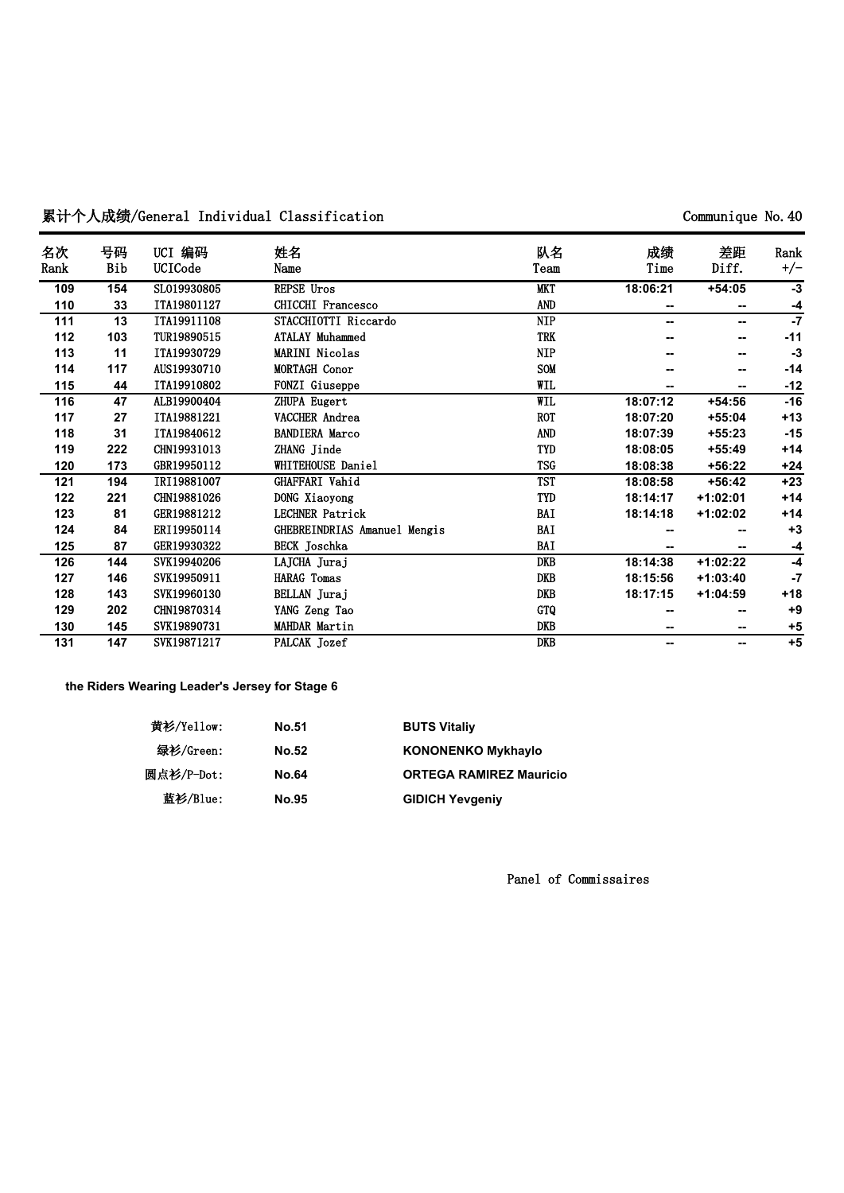# 累计个人成绩/General Individual Classification **by the communique No.40** Communique No.40

| 名次   | 号码  | UCI 编码      | 姓名                           | 队名         | 成绩       | 差距         | Rank  |
|------|-----|-------------|------------------------------|------------|----------|------------|-------|
| Rank | Bib | UCICode     | Name                         | Team       | Time     | Diff.      | $+/-$ |
| 109  | 154 | SL019930805 | REPSE Uros                   | <b>MKT</b> | 18:06:21 | $+54:05$   | $-3$  |
| 110  | 33  | ITA19801127 | <b>CHICCHI Francesco</b>     | <b>AND</b> | --       | --         | -4    |
| 111  | 13  | ITA19911108 | STACCHIOTTI Riccardo         | <b>NIP</b> | --       | --         | $-7$  |
| 112  | 103 | TUR19890515 | <b>ATALAY Muhammed</b>       | <b>TRK</b> |          |            | $-11$ |
| 113  | 11  | ITA19930729 | <b>MARINI Nicolas</b>        | <b>NIP</b> |          |            | $-3$  |
| 114  | 117 | AUS19930710 | <b>MORTAGH Conor</b>         | <b>SOM</b> |          |            | $-14$ |
| 115  | 44  | ITA19910802 | FONZI Giuseppe               | WIL        |          |            | $-12$ |
| 116  | 47  | ALB19900404 | ZHUPA Eugert                 | WIL        | 18:07:12 | $+54:56$   | $-16$ |
| 117  | 27  | ITA19881221 | VACCHER Andrea               | <b>ROT</b> | 18:07:20 | $+55:04$   | $+13$ |
| 118  | 31  | ITA19840612 | <b>BANDIERA Marco</b>        | AND        | 18:07:39 | $+55:23$   | $-15$ |
| 119  | 222 | CHN19931013 | ZHANG Jinde                  | TYD        | 18:08:05 | $+55:49$   | $+14$ |
| 120  | 173 | GBR19950112 | WHITEHOUSE Daniel            | <b>TSG</b> | 18:08:38 | $+56:22$   | $+24$ |
| 121  | 194 | IRI19881007 | GHAFFARI Vahid               | <b>TST</b> | 18:08:58 | $+56:42$   | $+23$ |
| 122  | 221 | CHN19881026 | DONG Xiaoyong                | TYD        | 18:14:17 | $+1:02:01$ | $+14$ |
| 123  | 81  | GER19881212 | <b>LECHNER Patrick</b>       | BAI        | 18:14:18 | +1:02:02   | $+14$ |
| 124  | 84  | ERI19950114 | GHEBREINDRIAS Amanuel Mengis | BAI        |          |            | $+3$  |
| 125  | 87  | GER19930322 | <b>BECK</b> Joschka          | BAI        |          |            | $-4$  |
| 126  | 144 | SVK19940206 | LAJCHA Juraj                 | DKB        | 18:14:38 | $+1:02:22$ | $-4$  |
| 127  | 146 | SVK19950911 | <b>HARAG</b> Tomas           | DKB        | 18:15:56 | $+1:03:40$ | $-7$  |
| 128  | 143 | SVK19960130 | BELLAN Juraj                 | <b>DKB</b> | 18:17:15 | $+1:04:59$ | $+18$ |
| 129  | 202 | CHN19870314 | YANG Zeng Tao                | GTQ        |          |            | $+9$  |
| 130  | 145 | SVK19890731 | <b>MAHDAR Martin</b>         | DKB        | --       | --         | $+5$  |
| 131  | 147 | SVK19871217 | PALCAK Jozef                 | DKB        | --       | --         | $+5$  |

**the Riders Wearing Leader's Jersey for Stage 6**

| 黄衫/Yellow: | <b>No.51</b> | <b>BUTS Vitaliy</b>            |
|------------|--------------|--------------------------------|
| 绿衫/Green:  | <b>No.52</b> | <b>KONONENKO Mykhaylo</b>      |
| 圆点衫/P-Dot: | <b>No.64</b> | <b>ORTEGA RAMIREZ Mauricio</b> |
| 蓝衫/Blue:   | <b>No.95</b> | <b>GIDICH Yevgeniy</b>         |

**Panel of Commissaires**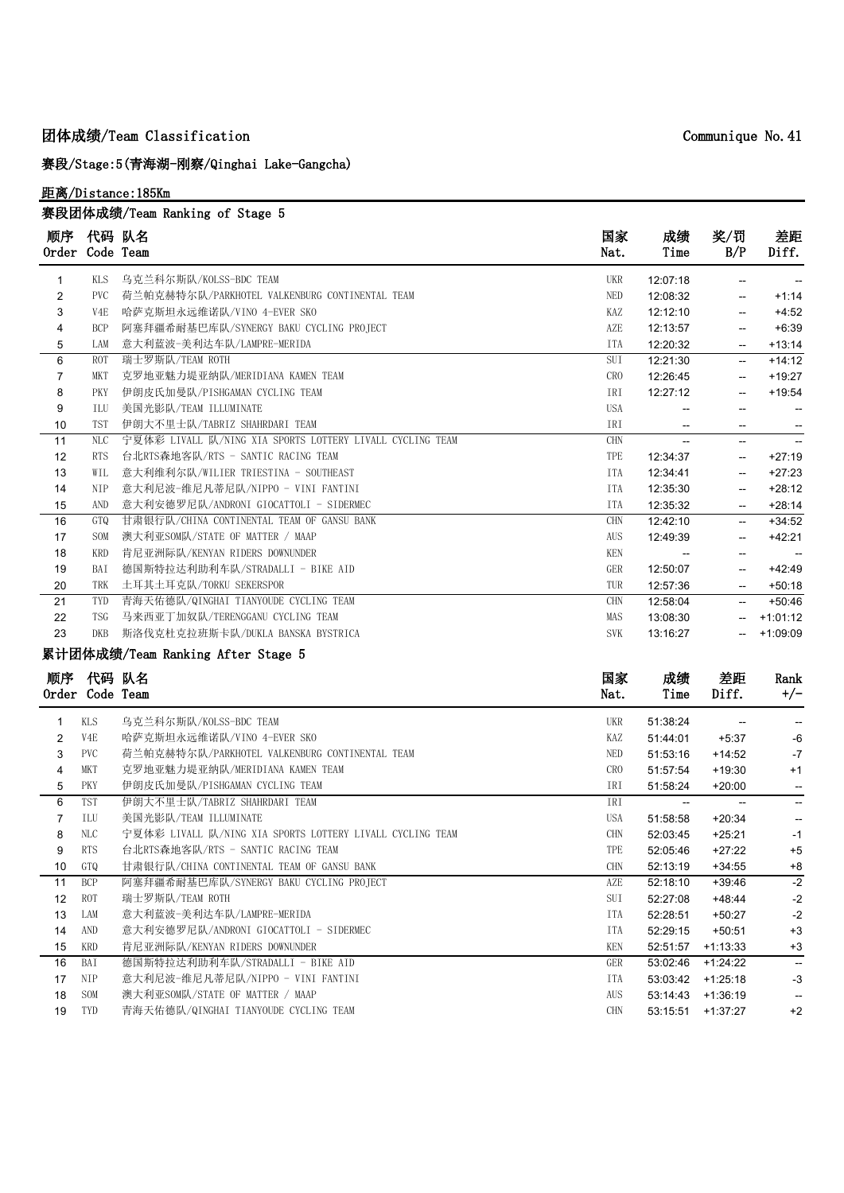## **团体成绩/Team Classification**

**赛段/Stage:5(青海湖-刚察/Qinghai Lake-Gangcha)**

### **距离/Distance:185Km**

|                |                             | 赛段团体成绩/Team Ranking of Stage 5                            |                 |                          |                          |                          |
|----------------|-----------------------------|-----------------------------------------------------------|-----------------|--------------------------|--------------------------|--------------------------|
| 顺序             | 代码 队名<br>Order Code Team    |                                                           | 国家<br>Nat.      | 成绩<br>Time               | 奖/罚<br>B/P               | 差距<br>Diff.              |
| $\mathbf{1}$   | <b>KLS</b>                  | 乌克兰科尔斯队/KOLSS-BDC TEAM                                    | UKR             | 12:07:18                 | Ξ.                       |                          |
| $\overline{2}$ | <b>PVC</b>                  | 荷兰帕克赫特尔队/PARKHOTEL VALKENBURG CONTINENTAL TEAM            | NED             | 12:08:32                 | $\overline{\phantom{a}}$ | $+1:14$                  |
| 3              | V4E                         | 哈萨克斯坦永远维诺队/VINO 4-EVER SKO                                | KAZ             | 12:12:10                 | --                       | $+4:52$                  |
| 4              | <b>BCP</b>                  | 阿塞拜疆希耐基巴库队/SYNERGY BAKU CYCLING PROJECT                   | AZE             | 12:13:57                 | $-$                      | $+6:39$                  |
| 5              | LAM                         | 意大利蓝波-美利达车队/LAMPRE-MERIDA                                 | <b>ITA</b>      | 12:20:32                 | $\overline{\phantom{a}}$ | $+13:14$                 |
| 6              | <b>ROT</b>                  | 瑞士罗斯队/TEAM ROTH                                           | SUI             | 12:21:30                 | $\overline{\phantom{a}}$ | $+14:12$                 |
| $\overline{7}$ | MKT                         | 克罗地亚魅力堤亚纳队/MERIDIANA KAMEN TEAM                           | CRO             | 12:26:45                 | $\overline{\phantom{a}}$ | $+19:27$                 |
| 8              | PKY                         | 伊朗皮氏加曼队/PISHGAMAN CYCLING TEAM                            | IRI             | 12:27:12                 | $\overline{\phantom{a}}$ | $+19:54$                 |
| 9              | ILU                         | 美国光影队/TEAM ILLUMINATE                                     | <b>USA</b>      | $\overline{\phantom{a}}$ | -−                       |                          |
| 10             | <b>TST</b>                  | 伊朗大不里士队/TABRIZ SHAHRDARI TEAM                             | IRI             | $\overline{\phantom{a}}$ | $\overline{\phantom{a}}$ | $\overline{\phantom{a}}$ |
| 11             | NLC                         | 宁夏体彩 LIVALL 队/NING XIA SPORTS LOTTERY LIVALL CYCLING TEAM | <b>CHN</b>      | Ц.                       | -−                       |                          |
| 12             | <b>RTS</b>                  | 台北RTS森地客队/RTS - SANTIC RACING TEAM                        | TPE             | 12:34:37                 | $\overline{\phantom{a}}$ | $+27:19$                 |
| 13             | WIL                         | 意大利维利尔队/WILIER TRIESTINA - SOUTHEAST                      | <b>ITA</b>      | 12:34:41                 | Ц.                       | $+27:23$                 |
| 14             | <b>NIP</b>                  | 意大利尼波-维尼凡蒂尼队/NIPPO - VINI FANTINI                         | <b>ITA</b>      | 12:35:30                 | Ξ.                       | $+28:12$                 |
| 15             | AND                         | 意大利安德罗尼队/ANDRONI GIOCATTOLI - SIDERMEC                    | <b>ITA</b>      | 12:35:32                 | $\overline{\phantom{a}}$ | $+28:14$                 |
| 16             | GTQ                         | 甘肃银行队/CHINA CONTINENTAL TEAM OF GANSU BANK                | CHN             | 12:42:10                 | --                       | $+34:52$                 |
| 17             | <b>SOM</b>                  | 澳大利亚SOM队/STATE OF MATTER / MAAP                           | AUS             | 12:49:39                 | $\overline{\phantom{a}}$ | $+42:21$                 |
| 18             | <b>KRD</b>                  | 肯尼亚洲际队/KENYAN RIDERS DOWNUNDER                            | <b>KEN</b>      |                          | $\overline{\phantom{0}}$ |                          |
| 19             | BAI                         | 德国斯特拉达利助利车队/STRADALLI - BIKE AID                          | GER             | 12:50:07                 | $\overline{\phantom{a}}$ | $+42:49$                 |
| 20             | TRK                         | 土耳其土耳克队/TORKU SEKERSPOR                                   | TUR             | 12:57:36                 | $\overline{\phantom{a}}$ | $+50:18$                 |
| 21             | TYD                         | 青海天佑德队/QINGHAI TIANYOUDE CYCLING TEAM                     | <b>CHN</b>      | 12:58:04                 | u.                       | $+50:46$                 |
| 22             | <b>TSG</b>                  | 马来西亚丁加奴队/TERENGGANU CYCLING TEAM                          | MAS             | 13:08:30                 | -−                       | $+1:01:12$               |
| 23             | <b>DKB</b>                  | 斯洛伐克杜克拉班斯卡队/DUKLA BANSKA BYSTRICA                         | <b>SVK</b>      | 13:16:27                 | --                       | $+1:09:09$               |
|                |                             | 累计团体成绩/Team Ranking After Stage 5                         |                 |                          |                          |                          |
|                | 顺序 代码 队名<br>Order Code Team |                                                           | 国家<br>Nat.      | 成绩<br>Time               | 差距<br>Diff.              | Rank<br>$+/-$            |
| $\mathbf{1}$   | KLS                         | 乌克兰科尔斯队/KOLSS-BDC TEAM                                    | <b>UKR</b>      | 51:38:24                 | $\overline{\phantom{a}}$ |                          |
| $\overline{2}$ | V4E                         | 哈萨克斯坦永远维诺队/VINO 4-EVER SKO                                | KAZ             | 51:44:01                 | $+5:37$                  | -6                       |
| 3              | PVC                         | 荷兰帕克赫特尔队/PARKHOTEL VALKENBURG CONTINENTAL TEAM            | NED             | 51:53:16                 | $+14:52$                 | $-7$                     |
| 4              | MKT                         | 克罗地亚魅力堤亚纳队/MERIDIANA KAMEN TEAM                           | CR <sub>0</sub> | 51:57:54                 | $+19:30$                 | $+1$                     |
| 5              | PKY                         | 伊朗皮氏加曼队/PISHGAMAN CYCLING TEAM                            | IRI             | 51:58:24                 | $+20:00$                 | $\overline{\phantom{a}}$ |
| 6              | TST                         | 伊朗大不里士队/TABRIZ SHAHRDARI TEAM                             | IRI             | $\overline{\phantom{a}}$ | $\mathbf{L}$             | $\overline{\phantom{a}}$ |
| $\overline{7}$ | ILU                         | 美国光影队/TEAM ILLUMINATE                                     | USA             | 51:58:58                 | $+20:34$                 | $\overline{\phantom{a}}$ |
| 8              | NLC                         | 宁夏体彩 LIVALL 队/NING XIA SPORTS LOTTERY LIVALL CYCLING TEAM | <b>CHN</b>      | 52:03:45                 | $+25:21$                 | $-1$                     |
| 9              | <b>RTS</b>                  | 台北RTS森地客队/RTS - SANTIC RACING TEAM                        | TPE             | 52:05:46                 | $+27:22$                 | $+5$                     |
| 10             | GTQ                         | 甘肃银行队/CHINA CONTINENTAL TEAM OF GANSU BANK                | <b>CHN</b>      | 52:13:19                 | $+34:55$                 | $+8$                     |
| 11             | <b>BCP</b>                  | 阿塞拜疆希耐基巴库队/SYNERGY BAKU CYCLING PROJECT                   | AZE             | 52:18:10                 | $+39:46$                 | $\overline{-2}$          |
| 12             | <b>ROT</b>                  | 瑞士罗斯队/TEAM ROTH                                           | SUI             | 52:27:08                 | $+48:44$                 | $-2$                     |

13 LAM 意大利蓝波-美利达车队/LAMPRE-MERIDA ITA S2:28:51 +50:27 -2 14 AND 意大利安德罗尼队/ANDRONI GIOCATTOLI - SIDERMEC **ITA S2:29:15 +50:51 +3** 15 KRD 肯尼亚洲际队/KENYAN RIDERS DOWNUNDER **KEN 52:51:57 +1:13:33** +3 16 BAI 德国斯特拉达利助利车队/STRADALLI - BIKE AID GER 53:02:46 +1:24:22 --17 NIP 意大利尼波-维尼凡蒂尼队/NIPPO - VINI FANTINI ITA S3:03:42 +1:25:18 -3 18 SOM 澳大利亚SOM队/STATE OF MATTER / MAAP **AUS 53:14:43 +1:36:19** --19 TYD 青海天佑德队/QINGHAI TIANYOUDE CYCLING TEAM CHAN CHN 53:15:51 +1:37:27 +2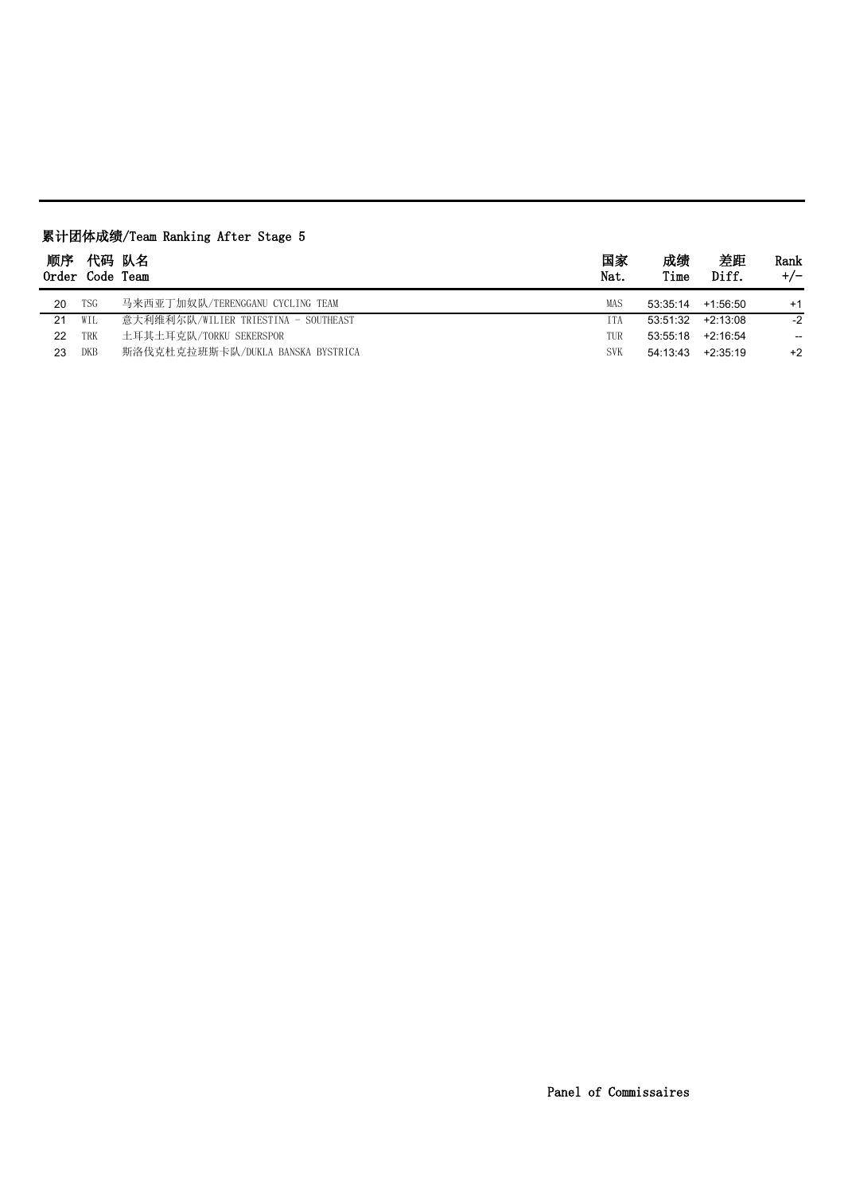| 顺序<br>$0$ rder | Code Team | 代码 队名                                | 国家<br>Nat. | 成绩<br>Time | 差距<br>Diff. | Rank<br>$+/-$     |
|----------------|-----------|--------------------------------------|------------|------------|-------------|-------------------|
| 20             | TSG       | 马来西亚丁加奴队/TERENGGANU CYCLING TEAM     | MAS        | 53:35:14   | $+1:56:50$  | $+1$              |
| 21             | WIL       | 意大利维利尔队/WILIER TRIESTINA - SOUTHEAST | ITA        | 53:51:32   | +2:13:08    | $-2$              |
| 22             | TRK       | 土耳其土耳克队/TORKU SEKERSPOR              | TUR        | 53:55:18   | $+2:16:54$  | $\hspace{0.05cm}$ |
| 23             | DKB       | 斯洛伐克杜克拉班斯卡队/DUKLA BANSKA BYSTRICA    | <b>SVK</b> | 54:13:43   | $+2.35.19$  | $+2$              |

# **累计团体成绩/Team Ranking After Stage 5**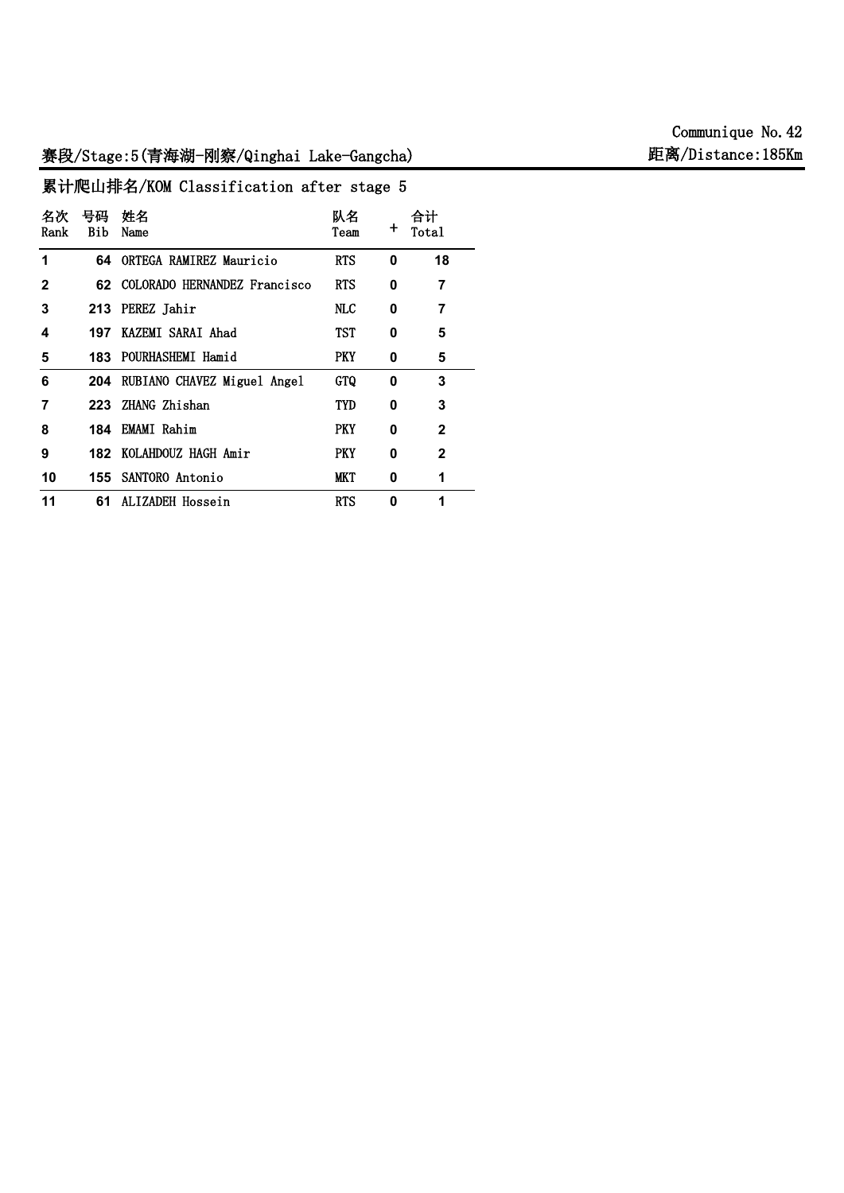# **赛段/Stage:5(青海湖-刚察/Qinghai Lake-Gangcha) 距离/Distance:185Km**

**累计爬山排名/KOM Classification after stage 5 名次 Rank 号码 姓名 Bib Name 队名 Team 合计 + Total 1 64 ORTEGA RAMIREZ Mauricio RTS 0 18 2 62 COLORADO HERNANDEZ Francisco Jarley RTS 0 7 3 213 PEREZ Jahir NLC 0 7 4 197 KAZEMI SARAI Ahad TST 0 5 5 183 POURHASHEMI Hamid PKY 0 5 6 204 RUBIANO CHAVEZ Miguel Angel GTQ 0 3 7 223 ZHANG Zhishan TYD 0 3 8 184 EMAMI Rahim PKY 0 2 9 182 KOLAHDOUZ HAGH Amir PKY 0 2 10 155 SANTORO Antonio MKT 0 1 11 61 ALIZADEH Hossein RTS 0 1**

**Communique No.42**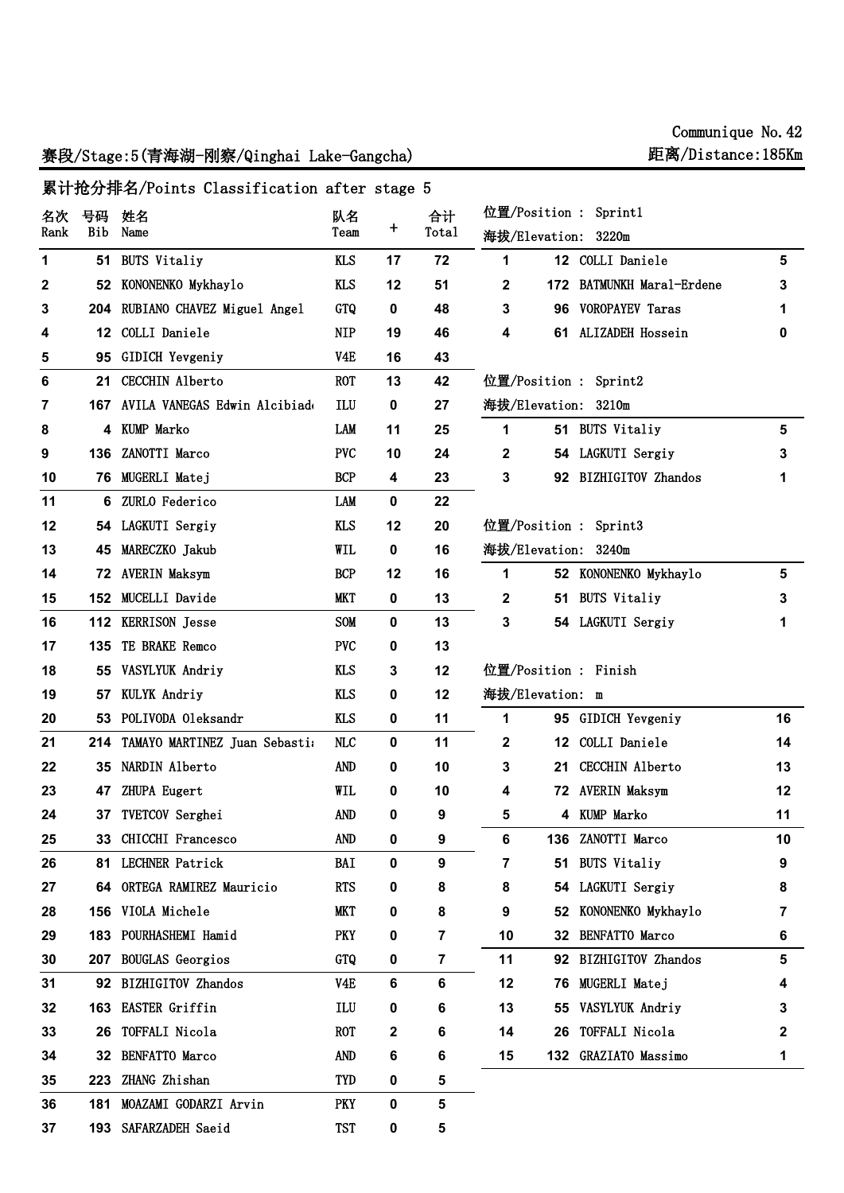# 赛段/Stage:5(青海湖-刚察/Qinghai Lake-Gangcha) 距离/Distance:185

**193 SAFARZADEH Saeid TST 0 5**

| Communique No. 42 |  |
|-------------------|--|
| 垢离/Distance・185Km |  |

#### **位置/Position : Sprint1 海拔/Elevation: 3220m 12 COLLI Daniele 5 172 BATMUNKH Maral-Erdene 3 96 VOROPAYEV Taras 1 61 ALIZADEH Hossein 0 位置/Position : Sprint2 海拔/Elevation: 3210m 51 BUTS Vitaliy 5 54 LAGKUTI Sergiy 3 92 BIZHIGITOV Zhandos 1 位置/Position : Sprint3 海拔/Elevation: 3240m 52 KONONENKO Mykhaylo 5 51 BUTS Vitaliy 3 54 LAGKUTI Sergiy 1 位置/Position : Finish 海拔/Elevation: m 95 GIDICH Yevgeniy 16 12 COLLI Daniele 14 21 CECCHIN Alberto 13 72 AVERIN Maksym 12 4 KUMP Marko 11 136 ZANOTTI Marco 10 51 BUTS Vitaliy 9 54 LAGKUTI Sergiy 8 52 KONONENKO Mykhaylo 7 32 BENFATTO Marco 6 92 BIZHIGITOV Zhandos 5 76 MUGERLI Matej 4 55 VASYLYUK Andriy 3 26 TOFFALI Nicola 2 132 GRAZIATO Massimo 1 累计抢分排名/Points Classification after stage 5 名次 Rank 号码 姓名 Bib Name 队名 Team 合计 + Total 51 BUTS Vitaliy KLS 17 72 52 KONONENKO Mykhaylo KLS 12 51 204 RUBIANO CHAVEZ Miguel Angel GTQ 0 48 12 COLLI Daniele NIP 19 46 95 GIDICH Yevgeniy V4E 16 43 21 CECCHIN Alberto ROT 13 42 167 AVILA VANEGAS Edwin Alcibiades ILU 0 27 4 KUMP Marko LAM 11 25 136 ZANOTTI Marco PVC 10 24 76 MUGERLI Matej BCP 4 23 6 ZURLO Federico LAM 0 22 54 LAGKUTI Sergiy KLS 12 20 45 MARECZKO Jakub WIL 0 16 72 AVERIN Maksym BCP 12 16 152 MUCELLI Davide MKT 0 13 112 KERRISON Jesse SOM 0 13 135 TE BRAKE Remco PVC 0 13 55 VASYLYUK Andriy KLS 3 12 57 KULYK Andriy KLS 0 12 53 POLIVODA Oleksandr KLS 0 11 214 TAMAYO MARTINEZ Juan Sebastian NLC 0 11 35 NARDIN Alberto AND 0 10 47 ZHUPA Eugert WIL 0 10 37 TVETCOV Serghei AND 0 9 33 CHICCHI Francesco AND 0 9 81 LECHNER Patrick BAI 0 9 64 ORTEGA RAMIREZ Mauricio RTS 0 8 156 VIOLA Michele MKT 0 8 183 POURHASHEMI Hamid PKY 0 7 207 BOUGLAS Georgios GTQ 0 7 92 BIZHIGITOV Zhandos V4E 6 6 163 EASTER Griffin ILU 0 6 26 TOFFALI Nicola ROT 2 6 32 BENFATTO Marco AND 6 6 223 ZHANG Zhishan TYD 0 5 181 MOAZAMI GODARZI Arvin PKY 0 5**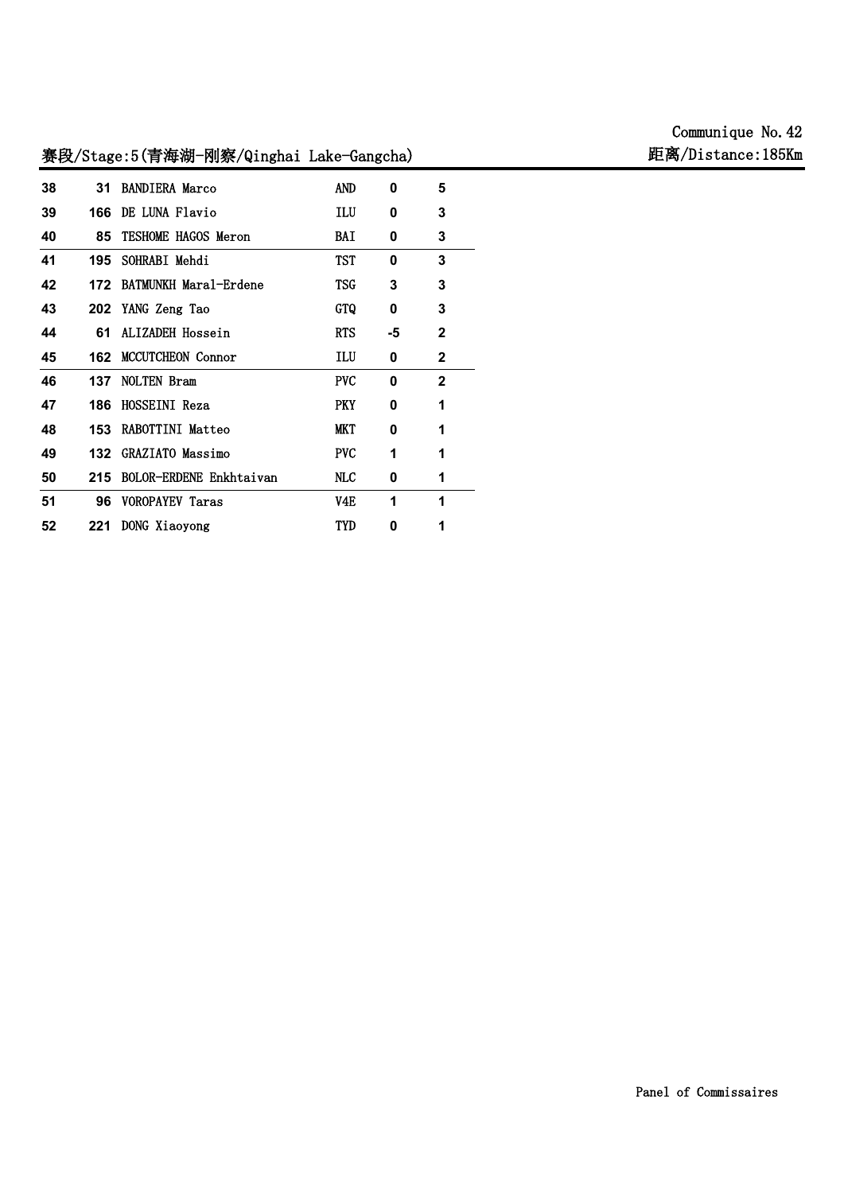# **Communique No.42**

# **31 BANDIERA Marco AND 0 5 166 DE LUNA Flavio ILU 0 3 85 TESHOME HAGOS Meron BAI 0 3 195 SOHRABI Mehdi TST 0 3 172 BATMUNKH Maral-Erdene TSG 3 3 202 YANG Zeng Tao GTQ 0 3 61 ALIZADEH Hossein RTS -5 2 162 MCCUTCHEON Connor ILU 0 2 137 NOLTEN Bram PVC 0 2 186 HOSSEINI Reza PKY 0 1 153 RABOTTINI Matteo MKT 0 1 132 GRAZIATO Massimo PVC 1 1 215 BOLOR-ERDENE Enkhtaivan NLC 0 1 96 VOROPAYEV Taras V4E 1 1 221 DONG Xiaoyong TYD 0 1**

# **赛段/Stage:5(青海湖-刚察/Qinghai Lake-Gangcha) 距离/Distance:185Km**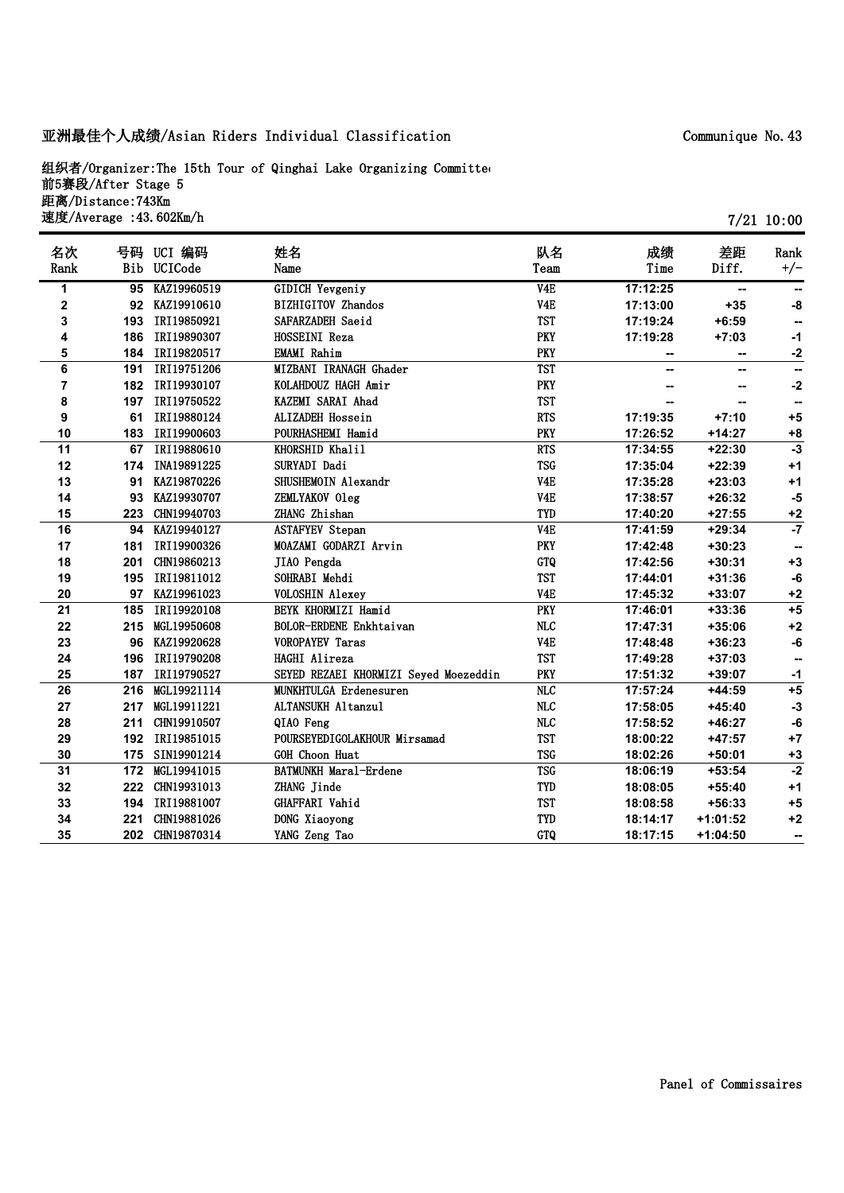## **亚洲最佳个人成绩/Asian Riders Individual Classification**

**组织者/Organizer:The 15th Tour of Qinghai Lake Organizing Committee 前5赛段/After Stage 5 距离/Distance:743Km 速度/Average :43.602Km/h**

| 名次   |     | 号码 UCI 编码       | 姓名                                    | 队名                      | 成绩       | 差距         | Rank            |
|------|-----|-----------------|---------------------------------------|-------------------------|----------|------------|-----------------|
| Rank | Bib | UCICode         | Name                                  | Team                    | Time     | Diff.      | $+/-$           |
| 1    | 95  | KAZ19960519     | <b>GIDICH Yevgeniy</b>                | V4E                     | 17:12:25 | --         |                 |
| 2    |     | 92 KAZ19910610  | <b>BIZHIGITOV Zhandos</b>             | V <sub>4</sub> E        | 17:13:00 | $+35$      | -8              |
| 3    | 193 | IRI19850921     | SAFARZADEH Saeid                      | <b>TST</b>              | 17:19:24 | $+6:59$    | --              |
| 4    | 186 | IRI19890307     | HOSSEINI Reza                         | <b>PKY</b>              | 17:19:28 | $+7:03$    | $-1$            |
| 5    | 184 | IRI19820517     | <b>EMAMI</b> Rahim                    | <b>PKY</b>              | --       | --         | $-2$            |
| 6    | 191 | IRI19751206     | MIZBANI IRANAGH Ghader                | <b>TST</b>              | -−       | --         | --              |
| 7    | 182 | IRI19930107     | KOLAHDOUZ HAGH Amir                   | <b>PKY</b>              |          |            | $-2$            |
| 8    | 197 | IRI19750522     | KAZEMI SARAI Ahad                     | <b>TST</b>              |          | --         | --              |
| 9    | 61  | IRI19880124     | ALIZADEH Hossein                      | <b>RTS</b>              | 17:19:35 | $+7:10$    | $+5$            |
| 10   | 183 | IRI19900603     | POURHASHEMI Hamid                     | <b>PKY</b>              | 17:26:52 | $+14:27$   | $+8$            |
| 11   | 67  | IRI19880610     | KHORSHID Khalil                       | <b>RTS</b>              | 17:34:55 | $+22:30$   | $-3$            |
| 12   | 174 | INA19891225     | SURYADI Dadi                          | <b>TSG</b>              | 17:35:04 | $+22:39$   | $+1$            |
| 13   | 91  | KAZ19870226     | SHUSHEMOIN Alexandr                   | V <sub>4</sub> E        | 17:35:28 | $+23:03$   | $+1$            |
| 14   | 93  | KAZ19930707     | ZEMLYAKOV Oleg                        | V <sub>4</sub> E        | 17:38:57 | $+26:32$   | $-5$            |
| 15   | 223 | CHN19940703     | ZHANG Zhishan                         | <b>TYD</b>              | 17:40:20 | $+27:55$   | $+2$            |
| 16   | 94  | KAZ19940127     | <b>ASTAFYEV Stepan</b>                | V <sub>4E</sub>         | 17:41:59 | $+29:34$   | $\overline{.7}$ |
| 17   | 181 | IRI19900326     | MOAZAMI GODARZI Arvin                 | PKY                     | 17:42:48 | $+30:23$   |                 |
| 18   | 201 | CHN19860213     | JIAO Pengda                           | GTQ                     | 17:42:56 | $+30:31$   | $+3$            |
| 19   | 195 | IRI19811012     | SOHRABI Mehdi                         | <b>TST</b>              | 17:44:01 | $+31:36$   | -6              |
| 20   | 97  | KAZ19961023     | <b>VOLOSHIN Alexey</b>                | V <sub>4E</sub>         | 17:45:32 | +33:07     | $+2$            |
| 21   | 185 | IRI19920108     | BEYK KHORMIZI Hamid                   | <b>PKY</b>              | 17:46:01 | $+33:36$   | $+5$            |
| 22   | 215 | MGL19950608     | BOLOR-ERDENE Enkhtaivan               | $\rm NLC$               | 17:47:31 | $+35:06$   | $+2$            |
| 23   | 96  | KAZ19920628     | <b>VOROPAYEV Taras</b>                | V <sub>4E</sub>         | 17:48:48 | $+36:23$   | $-6$            |
| 24   | 196 | IRI19790208     | HAGHI Alireza                         | <b>TST</b>              | 17:49:28 | $+37:03$   | --              |
| 25   | 187 | IRI19790527     | SEYED REZAEI KHORMIZI Seyed Moezeddin | PKY                     | 17:51:32 | +39:07     | $-1$            |
| 26   | 216 | MGL19921114     | <b>MUNKHTULGA Erdenesuren</b>         | $\overline{\text{NLC}}$ | 17:57:24 | $+44:59$   | $+5$            |
| 27   | 217 | MGL19911221     | ALTANSUKH Altanzul                    | MLC                     | 17:58:05 | $+45:40$   | $-3$            |
| 28   | 211 | CHN19910507     | QIAO Feng                             | <b>NLC</b>              | 17:58:52 | $+46:27$   | -6              |
| 29   | 192 | IRI19851015     | POURSEYEDIGOLAKHOUR Mirsamad          | <b>TST</b>              | 18:00:22 | $+47:57$   | $+7$            |
| 30   | 175 | SIN19901214     | GOH Choon Huat                        | <b>TSG</b>              | 18:02:26 | $+50:01$   | $+3$            |
| 31   |     | 172 MGL19941015 | BATMUNKH Maral-Erdene                 | <b>TSG</b>              | 18:06:19 | $+53:54$   | $-2$            |
| 32   | 222 | CHN19931013     | ZHANG Jinde                           | TYD                     | 18:08:05 | $+55:40$   | $+1$            |
| 33   | 194 | IRI19881007     | GHAFFARI Vahid                        | <b>TST</b>              | 18:08:58 | $+56:33$   | $+5$            |
| 34   | 221 | CHN19881026     | DONG Xiaoyong                         | TYD                     | 18:14:17 | $+1:01:52$ | $+2$            |
| 35   | 202 | CHN19870314     | YANG Zeng Tao                         | <b>GTQ</b>              | 18:17:15 | $+1:04:50$ | --              |

**7/21 10:00**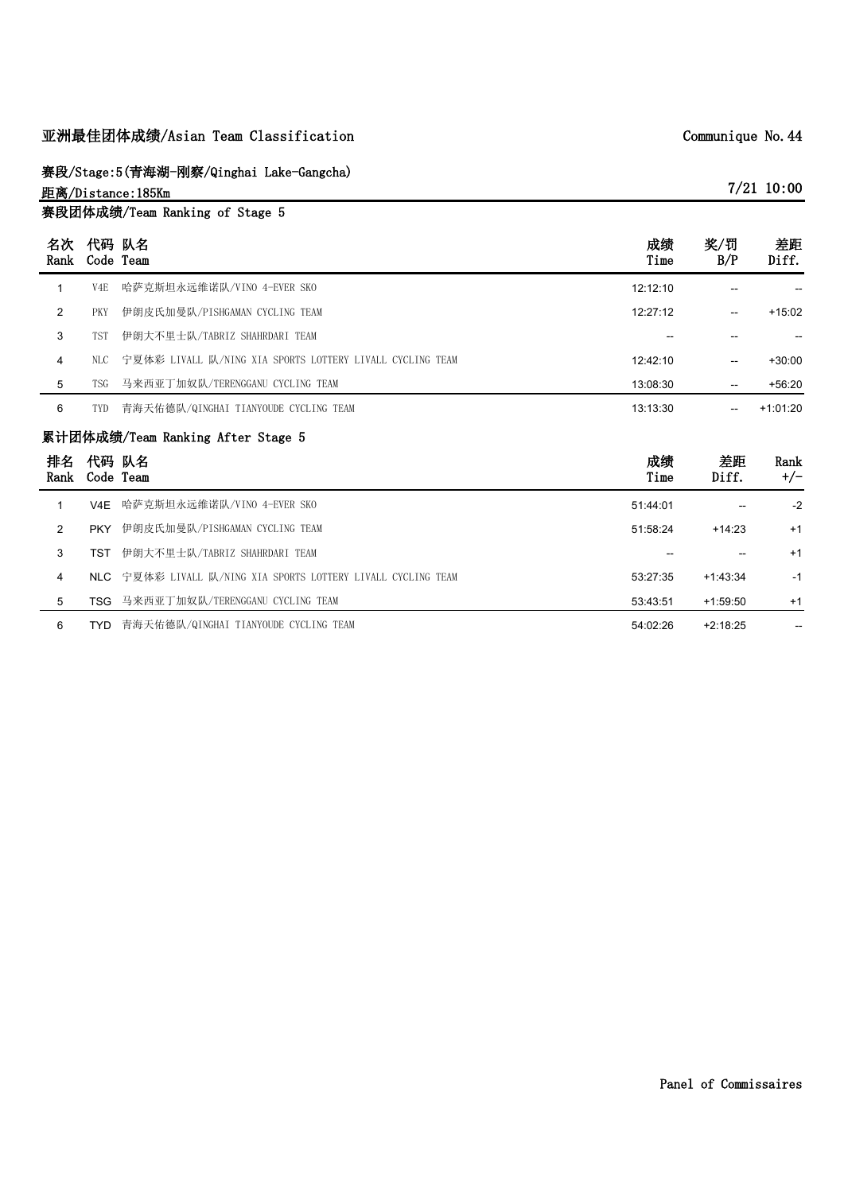# **亚洲最佳团体成绩/Asian Team Classification**

**赛段/Stage:5(青海湖-刚察/Qinghai Lake-Gangcha)**

**距离/Distance:185Km 赛段团体成绩/Team Ranking of Stage 5**

| 名次<br>Rank     |                  | 代码 队名<br>Code Team                                        | 成绩<br>Time | 奖/罚<br>B/P  | 差距<br>Diff.   |
|----------------|------------------|-----------------------------------------------------------|------------|-------------|---------------|
| $\mathbf{1}$   | V <sub>4</sub> E | 哈萨克斯坦永远维诺队/VINO 4-EVER SKO                                | 12:12:10   |             |               |
| $\overline{2}$ | <b>PKY</b>       | 伊朗皮氏加曼队/PISHGAMAN CYCLING TEAM                            | 12:27:12   |             | $+15:02$      |
| 3              | <b>TST</b>       | 伊朗大不里士队/TABRIZ SHAHRDARI TEAM                             |            |             | --            |
| 4              | NLC.             | 宁夏体彩 LIVALL 队/NING XIA SPORTS LOTTERY LIVALL CYCLING TEAM | 12:42:10   |             | $+30:00$      |
| 5              | <b>TSG</b>       | 马来西亚丁加奴队/TERENGGANU CYCLING TEAM                          | 13:08:30   | $- -$       | $+56:20$      |
| 6              | <b>TYD</b>       | 青海天佑德队/QINGHAI TIANYOUDE CYCLING TEAM                     | 13:13:30   |             | $+1:01:20$    |
|                |                  |                                                           |            |             |               |
|                |                  | 累计团体成绩/Team Ranking After Stage 5                         |            |             |               |
| 排名<br>Rank     | 代码 队名            | Code Team                                                 | 成绩<br>Time | 差距<br>Diff. | Rank<br>$+/-$ |
| 1              | V4E              | 哈萨克斯坦永远维诺队/VINO 4-EVER SKO                                | 51:44:01   |             | $-2$          |
| $\overline{2}$ | <b>PKY</b>       | 伊朗皮氏加曼队/PISHGAMAN CYCLING TEAM                            | 51:58:24   | $+14:23$    | $+1$          |
| 3              | <b>TST</b>       | 伊朗大不里士队/TABRIZ SHAHRDARI TEAM                             |            |             | $+1$          |
| 4              | NIC              | 宁夏体彩 LIVALL 队/NING XIA SPORTS LOTTERY LIVALL CYCLING TEAM | 53:27:35   | $+1:43:34$  | $-1$          |
| 5              |                  | TSG 马来西亚丁加奴队/TERENGGANU CYCLING TEAM                      | 53:43:51   | $+1:59:50$  | $+1$          |

**Communique No.44**

**7/21 10:00**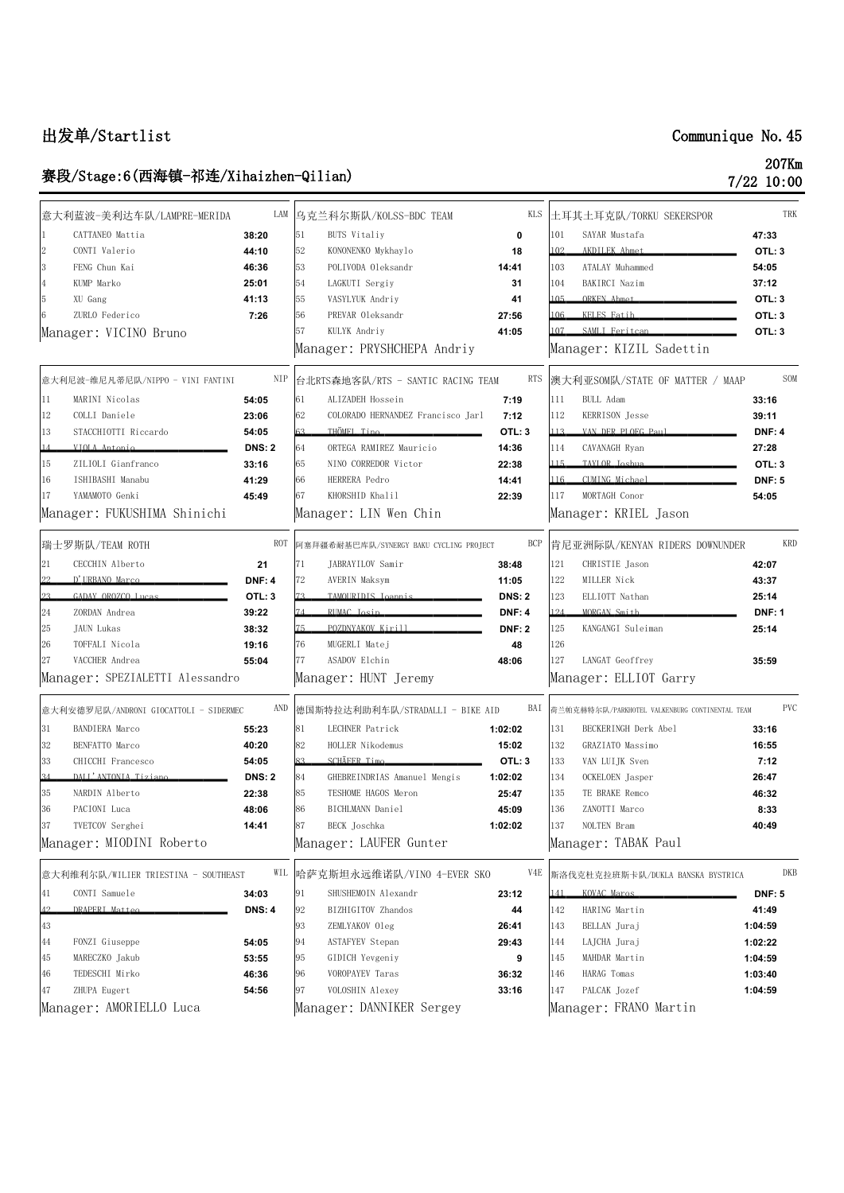# **出发单/Startlist Communique No.45**

# **赛段/Stage:6(西海镇-祁连/Xihaizhen-Qilian) 207Km**

| 207Km        |
|--------------|
| $7/22$ 10:00 |

|    | 意大利蓝波-美利达车队/LAMPRE-MERIDA              |               |     | LAM 乌克兰科尔斯队/KOLSS-BDC TEAM              | KLS           |     | 土耳其土耳克队/TORKU SEKERSPOR                        |               | TRK        |
|----|----------------------------------------|---------------|-----|-----------------------------------------|---------------|-----|------------------------------------------------|---------------|------------|
|    | CATTANEO Mattia                        | 38:20         | 51  | <b>BUTS</b> Vitaliy                     | 0             | 101 | SAYAR Mustafa                                  | 47:33         |            |
|    | CONTI Valerio                          | 44:10         | 52  | KONONENKO Mykhaylo                      | 18            | 102 | AKDILEK Ahmet                                  | OTL: 3        |            |
|    | FENG Chun Kai                          | 46:36         | 53  | POLIVODA Oleksandr                      | 14:41         | 103 | ATALAY Muhammed                                | 54:05         |            |
|    | KUMP Marko                             | 25:01         | 54  | LAGKUTI Sergiy                          | 31            | 104 | BAKIRCI Nazim                                  | 37:12         |            |
|    | XU Gang                                | 41:13         | 55  | VASYLYUK Andriy                         | 41            | 105 | ORKEN Ahmot                                    | OTL: 3        |            |
|    | ZURLO Federico                         | 7:26          | 56  | PREVAR Oleksandr                        | 27:56         | 106 | KFI FS Fatih                                   | OTL: 3        |            |
|    | Manager: VICINO Bruno                  |               | 57  | KULYK Andriy                            | 41:05         | 107 | SAMLI Feritcan                                 | OTL: 3        |            |
|    |                                        |               |     | Manager: PRYSHCHEPA Andriy              |               |     | Manager: KIZIL Sadettin                        |               |            |
|    | 意大利尼波-维尼凡蒂尼队/NIPPO - VINI FANTINI      | NIP           |     | 台北RTS森地客队/RTS - SANTIC RACING TEAM      | <b>RTS</b>    |     | 澳大利亚SOM队/STATE OF MATTER / MAAP                |               | SOM        |
| 11 | MARINI Nicolas                         | 54:05         | 61  | ALIZADEH Hossein                        | 7:19          | 111 | BULL Adam                                      | 33:16         |            |
| 12 | COLLI Daniele                          | 23:06         | 62  | COLORADO HERNANDEZ Francisco Jarl       | 7:12          | 112 | KERRISON Jesse                                 | 39:11         |            |
| 13 | STACCHIOTTI Riccardo                   | 54:05         | 63  | THÖMEL Tino                             | OTL: 3        | 113 | VAN DER PLOEG Paul                             | <b>DNF: 4</b> |            |
|    | VIOLA Antonio                          | <b>DNS: 2</b> | 64  | ORTEGA RAMIREZ Mauricio                 | 14:36         | 114 | CAVANAGH Ryan                                  | 27:28         |            |
| 15 | ZILIOLI Gianfranco                     | 33:16         | 65  | NINO CORREDOR Victor                    | 22:38         | 115 | TAVI OR Joshua                                 | OTL: 3        |            |
| 16 | ISHIBASHI Manabu                       | 41:29         | 66  | HERRERA Pedro                           | 14:41         | 116 | CIMING Michael                                 | <b>DNF: 5</b> |            |
| 17 | YAMAMOTO Genki                         | 45:49         | 67  | KHORSHID Khalil                         | 22:39         | 117 | MORTAGH Conor                                  | 54:05         |            |
|    | Manager: FUKUSHIMA Shinichi            |               |     | Manager: LIN Wen Chin                   |               |     | Manager: KRIEL Jason                           |               |            |
|    | 瑞士罗斯队/TEAM ROTH                        | ROT           |     | 阿塞拜疆希耐基巴库队/SYNERGY BAKU CYCLING PROJECT | <b>BCP</b>    |     | 肯尼亚洲际队/KENYAN RIDERS DOWNUNDER                 |               | KRD        |
| 21 | CECCHIN Alberto                        | 21            | 171 | JABRAYILOV Samir                        | 38:48         | 121 | CHRISTIE Jason                                 | 42:07         |            |
| 99 | D'IRBANO Marco                         | <b>DNF: 4</b> | 72  | AVERIN Maksym                           | 11:05         | 122 | MILLER Nick                                    | 43:37         |            |
| າາ | GADAY OROZCO Lucas                     | OTL: 3        | 73  | TAMOURIDIS Loannis                      | <b>DNS: 2</b> | 123 | ELLIOTT Nathan                                 | 25:14         |            |
| 24 | ZORDAN Andrea                          | 39:22         |     | RIMAC Josin                             | <b>DNF: 4</b> | 124 | MORGAN Smith                                   | <b>DNF: 1</b> |            |
| 25 | JAUN Lukas                             | 38:32         | 75  | POZDNYAKOV Kirill                       | <b>DNF: 2</b> | 125 | KANGANGI Suleiman                              | 25:14         |            |
| 26 | TOFFALI Nicola                         | 19:16         | 76  | MUGERLI Matej                           | 48            | 126 |                                                |               |            |
| 27 | VACCHER Andrea                         | 55:04         | 77  | ASADOV Elchin                           | 48:06         | 127 | LANGAT Geoffrey                                | 35:59         |            |
|    | Manager: SPEZIALETTI Alessandro        |               |     | Manager: HUNT Jeremy                    |               |     | Manager: ELLIOT Garry                          |               |            |
|    | 意大利安德罗尼队/ANDRONI GIOCATTOLI - SIDERMEC |               |     | AND 德国斯特拉达利助利车队/STRADALLI - BIKE AID    | BAI           |     | 荷兰帕克赫特尔队/PARKHOTEL VALKENBURG CONTINENTAL TEAM |               | <b>PVC</b> |
| 31 | <b>BANDIERA</b> Marco                  | 55:23         | 81  | LECHNER Patrick                         | 1:02:02       | 131 | BECKERINGH Derk Abel                           | 33:16         |            |
| 32 | BENFATTO Marco                         | 40:20         | 82  | HOLLER Nikodemus                        | 15:02         | 132 | GRAZIATO Massimo                               | 16:55         |            |
| 33 | CHICCHI Francesco                      | 54:05         | 83  | SCHÄFFR Timo                            | OTL: 3        | 133 | VAN LUIJK Sven                                 | 7:12          |            |
|    | DALL'ANTONIA Tiziano                   | <b>DNS: 2</b> | 84  | GHEBREINDRIAS Amanuel Mengis            | 1:02:02       | 134 | OCKELOEN Jasper                                | 26:47         |            |
| 35 | NARDIN Alberto                         | 22:38         | 85  | TESHOME HAGOS Meron                     | 25:47         | 135 | TE BRAKE Remco                                 | 46:32         |            |
| 36 | PACIONI Luca                           | 48:06         | 86  | BICHLMANN Daniel                        | 45:09         | 136 | ZANOTTI Marco                                  | 8:33          |            |
| 37 | TVETCOV Serghei                        | 14:41         | 87  | BECK Joschka                            | 1:02:02       | 137 | NOLTEN Bram                                    | 40:49         |            |
|    | Manager: MIODINI Roberto               |               |     | Manager: LAUFER Gunter                  |               |     | Manager: TABAK Paul                            |               |            |
|    | 意大利维利尔队/WILIER TRIESTINA – SOUTHEAST   |               |     | WIL 哈萨克斯坦永远维诺队/VINO 4-EVER SKO          | V4E           |     | 斯洛伐克杜克拉班斯卡队/DUKLA BANSKA BYSTRICA              |               | DKE        |
| 41 | CONTI Samuele                          | 34:03         | 191 | SHUSHEMOIN Alexandr                     | 23:12         |     | KOVAC Maros                                    | <b>DNF: 5</b> |            |
|    | DRAPFRI Matteo                         | <b>DNS: 4</b> | 92  | BIZHIGITOV Zhandos                      | 44            | 142 | HARING Martin                                  | 41:49         |            |
| 43 |                                        |               | 93  | ZEMLYAKOV Oleg                          | 26:41         | 143 | BELLAN Juraj                                   | 1:04:59       |            |
| 44 | FONZI Giuseppe                         | 54:05         | 94  | <b>ASTAFYEV Stepan</b>                  | 29:43         | 144 | LAJCHA Juraj                                   | 1:02:22       |            |
| 45 | MARECZKO Jakub                         | 53:55         | 95  | GIDICH Yevgeniy                         | 9             | 145 | MAHDAR Martin                                  | 1:04:59       |            |
| 46 | TEDESCHI Mirko                         | 46:36         | 96  | VOROPAYEV Taras                         | 36:32         | 146 | HARAG Tomas                                    | 1:03:40       |            |
| 47 | ZHUPA Eugert                           | 54:56         | 97  | VOLOSHIN Alexey                         | 33:16         | 147 | PALCAK Jozef                                   | 1:04:59       |            |
|    |                                        |               |     |                                         |               |     |                                                |               |            |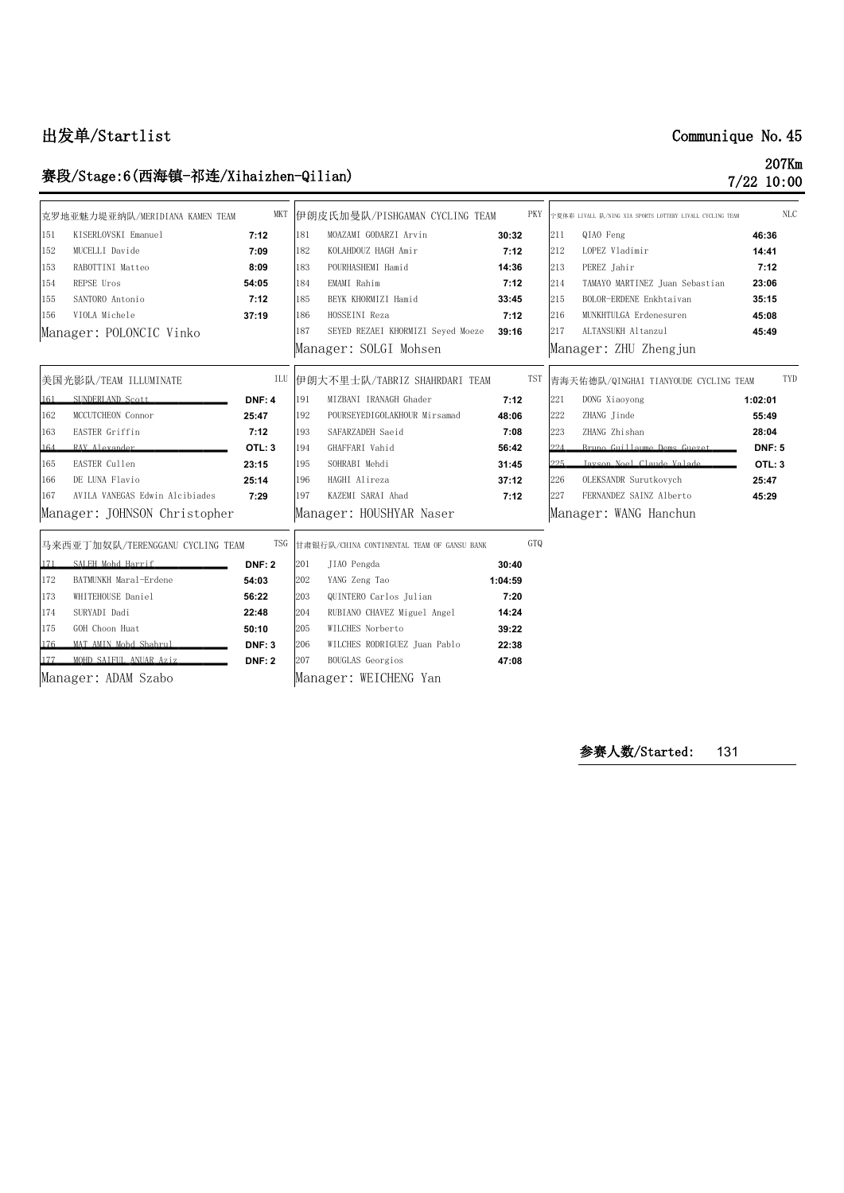# **出发单/Startlist Communique No.45**

# **赛段/Stage:6(西海镇-祁连/Xihaizhen-Qilian) 207Km**

**7/22 10:00**

|     | 克罗地亚魅力堤亚纳队/MERIDIANA KAMEN TEAM  | <b>MKT</b>    |     | 伊朗皮氏加曼队/PISHGAMAN CYCLING TEAM             | PKY     |     | 宁夏体彩 LIVALL 队/NING XIA SPORTS LOTTERY LIVALL CYCLING TEAM |               | <b>NLC</b> |
|-----|----------------------------------|---------------|-----|--------------------------------------------|---------|-----|-----------------------------------------------------------|---------------|------------|
| 151 | KISERLOVSKI Emanuel              | 7:12          | 181 | MOAZAMI GODARZI Arvin                      | 30:32   | 211 | QIAO Feng                                                 | 46:36         |            |
| 152 | MUCELLI Davide                   | 7:09          | 182 | KOLAHDOUZ HAGH Amir                        | 7:12    | 212 | LOPEZ Vladimir                                            | 14:41         |            |
| 153 | RABOTTINI Matteo                 | 8:09          | 183 | POURHASHEMI Hamid                          | 14:36   | 213 | PEREZ Jahir                                               | 7:12          |            |
| 154 | REPSE Uros                       | 54:05         | 184 | EMAMI Rahim                                | 7:12    | 214 | TAMAYO MARTINEZ Juan Sebastian                            | 23:06         |            |
| 155 | SANTORO Antonio                  | 7:12          | 185 | BEYK KHORMIZI Hamid                        | 33:45   | 215 | BOLOR-ERDENE Enkhtaivan                                   | 35:15         |            |
| 156 | VIOLA Michele                    | 37:19         | 186 | HOSSEINI Reza                              | 7:12    | 216 | MUNKHTULGA Erdenesuren                                    | 45:08         |            |
|     | Manager: POLONCIC Vinko          |               | 187 | SEYED REZAEI KHORMIZI Seyed Moeze          | 39:16   | 217 | ALTANSUKH Altanzul                                        | 45:49         |            |
|     |                                  |               |     | Manager: SOLGI Mohsen                      |         |     | Manager: ZHU Zhengjun                                     |               |            |
|     | 美国光影队/TEAM ILLUMINATE            | ILU           |     | 伊朗大不里士队/TABRIZ SHAHRDARI TEAM              | TST     |     | 青海天佑德队/QINGHAI TIANYOUDE CYCLING TEAM                     |               | TYD        |
| 161 | SUNDERLAND Scott                 | <b>DNF: 4</b> | 191 | MIZBANI IRANAGH Ghader                     | 7:12    | 221 | DONG Xiaoyong                                             | 1:02:01       |            |
| 162 | MCCUTCHEON Connor                | 25:47         | 192 | POURSEYEDIGOLAKHOUR Mirsamad               | 48:06   | 222 | ZHANG Jinde                                               | 55:49         |            |
| 163 | EASTER Griffin                   | 7:12          | 193 | SAFARZADEH Saeid                           | 7:08    | 223 | ZHANG Zhishan                                             | 28:04         |            |
| 164 | RAY Alexander                    | OTL: 3        | 194 | GHAFFARI Vahid                             | 56:42   | 994 | Bruno Guillaume Dems Guezet                               | <b>DNF: 5</b> |            |
| 165 | EASTER Cullen                    | 23:15         | 195 | SOHRABI Mehdi                              | 31:45   | 995 | Javson Noel Claude Valade                                 | OTL: 3        |            |
| 166 | DE LUNA Flavio                   | 25:14         | 196 | HAGHI Alireza                              | 37:12   | 226 | OLEKSANDR Surutkovych                                     | 25:47         |            |
| 167 | AVILA VANEGAS Edwin Alcibiades   | 7:29          | 197 | KAZEMI SARAI Ahad                          | 7:12    | 227 | FERNANDEZ SAINZ Alberto                                   | 45:29         |            |
|     | Manager: JOHNSON Christopher     |               |     | Manager: HOUSHYAR Naser                    |         |     | Manager: WANG Hanchun                                     |               |            |
|     | 马来西亚丁加奴队/TERENGGANU CYCLING TEAM | TSG           |     | 甘肃银行队/CHINA CONTINENTAL TEAM OF GANSU BANK | GTQ     |     |                                                           |               |            |
| 171 | SALEH Mohd Harrif                | <b>DNF: 2</b> | 201 | JIAO Pengda                                | 30:40   |     |                                                           |               |            |
| 172 | BATMUNKH Maral-Erdene            | 54:03         | 202 | YANG Zeng Tao                              | 1:04:59 |     |                                                           |               |            |
| 173 | WHITEHOUSE Daniel                | 56:22         | 203 | QUINTERO Carlos Julian                     | 7:20    |     |                                                           |               |            |
| 174 | SURYADI Dadi                     | 22:48         | 204 | RUBIANO CHAVEZ Miguel Angel                | 14:24   |     |                                                           |               |            |
| 175 | GOH Choon Huat                   | 50:10         | 205 | WILCHES Norberto                           | 39:22   |     |                                                           |               |            |
| 176 | MAT AMIN Mohd Shahrul            | <b>DNF: 3</b> | 206 | WILCHES RODRIGUEZ Juan Pablo               | 22:38   |     |                                                           |               |            |
|     | MOHD SAIFUL ANUAR Aziz           | <b>DNF: 2</b> | 207 | <b>BOUGLAS</b> Georgios                    | 47:08   |     |                                                           |               |            |
|     | Manager: ADAM Szabo              |               |     | Manager: WEICHENG Yan                      |         |     |                                                           |               |            |
|     |                                  |               |     |                                            |         |     |                                                           |               |            |

**参赛人数/Started:** 131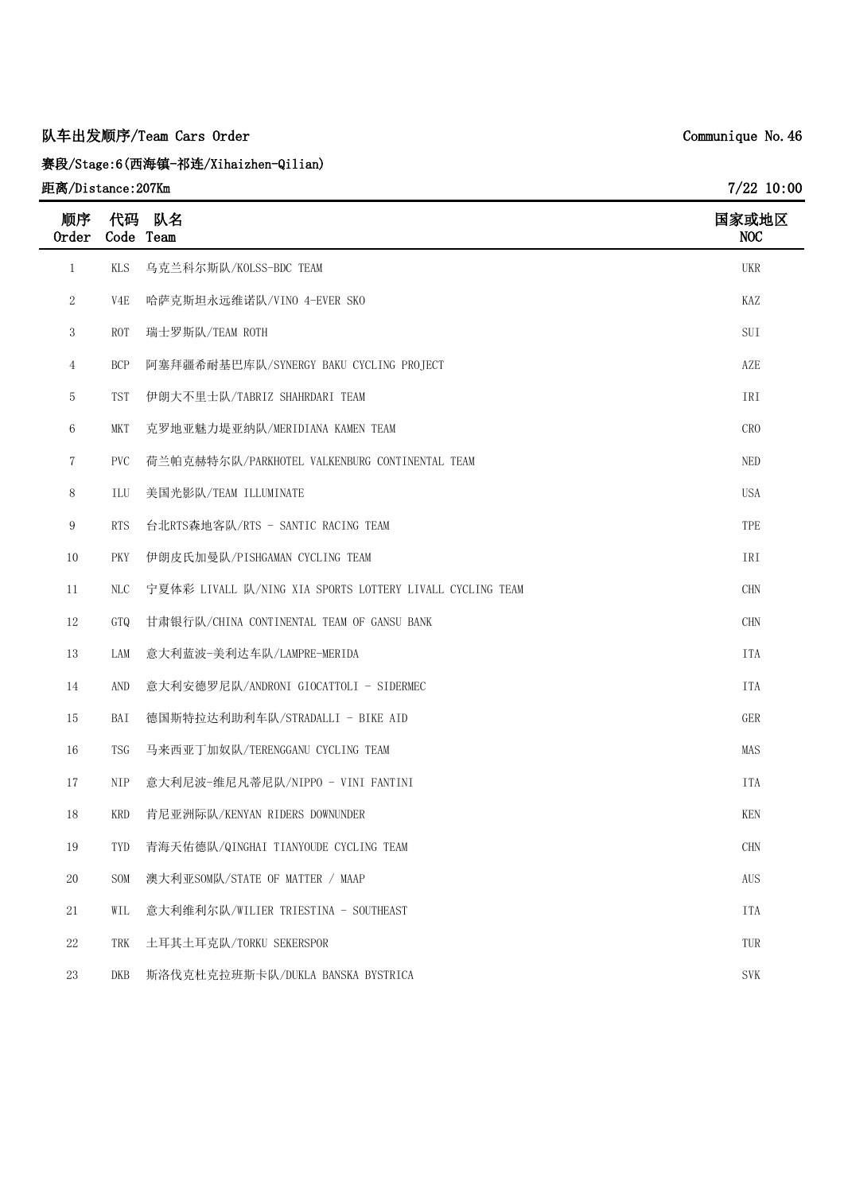# **队车出发顺序/Team Cars Order**

**赛段/Stage:6(西海镇-祁连/Xihaizhen-Qilian)**

# **距离/Distance:207Km**

| 顺序<br><b>Order</b> | 代码<br>Code Team  | 队名                                                        | 国家或地区<br>NOC    |
|--------------------|------------------|-----------------------------------------------------------|-----------------|
| $\mathbf{1}$       | <b>KLS</b>       | 乌克兰科尔斯队/KOLSS-BDC TEAM                                    | <b>UKR</b>      |
| $\mathbf{2}$       | V <sub>4</sub> E | 哈萨克斯坦永远维诺队/VINO 4-EVER SKO                                | KAZ             |
| 3                  | <b>ROT</b>       | 瑞士罗斯队/TEAM ROTH                                           | SUI             |
| $\overline{4}$     | <b>BCP</b>       | 阿塞拜疆希耐基巴库队/SYNERGY BAKU CYCLING PROJECT                   | AZE             |
| 5                  | <b>TST</b>       | 伊朗大不里士队/TABRIZ SHAHRDARI TEAM                             | IRI             |
| 6                  | <b>MKT</b>       | 克罗地亚魅力堤亚纳队/MERIDIANA KAMEN TEAM                           | CR <sub>0</sub> |
| 7                  | <b>PVC</b>       | 荷兰帕克赫特尔队/PARKHOTEL VALKENBURG CONTINENTAL TEAM            | <b>NED</b>      |
| 8                  | ILU              | 美国光影队/TEAM ILLUMINATE                                     | <b>USA</b>      |
| 9                  | <b>RTS</b>       | 台北RTS森地客队/RTS - SANTIC RACING TEAM                        | TPE             |
| 10                 | <b>PKY</b>       | 伊朗皮氏加曼队/PISHGAMAN CYCLING TEAM                            | IRI             |
| 11                 | <b>NLC</b>       | 宁夏体彩 LIVALL 队/NING XIA SPORTS LOTTERY LIVALL CYCLING TEAM | <b>CHN</b>      |
| 12                 | GTQ              | 甘肃银行队/CHINA CONTINENTAL TEAM OF GANSU BANK                | <b>CHN</b>      |
| 13                 | LAM              | 意大利蓝波-美利达车队/LAMPRE-MERIDA                                 | <b>ITA</b>      |
| 14                 | AND              | 意大利安德罗尼队/ANDRONI GIOCATTOLI - SIDERMEC                    | <b>ITA</b>      |
| 15                 | BAI              | 德国斯特拉达利助利车队/STRADALLI - BIKE AID                          | GER             |
| 16                 | <b>TSG</b>       | 马来西亚丁加奴队/TERENGGANU CYCLING TEAM                          | MAS             |
| 17                 | <b>NIP</b>       | 意大利尼波-维尼凡蒂尼队/NIPPO - VINI FANTINI                         | <b>ITA</b>      |
| 18                 | <b>KRD</b>       | 肯尼亚洲际队/KENYAN RIDERS DOWNUNDER                            | <b>KEN</b>      |
| 19                 | TYD              | 青海天佑德队/QINGHAI TIANYOUDE CYCLING TEAM                     | <b>CHN</b>      |
| 20                 | SOM              | 澳大利亚SOM队/STATE OF MATTER / MAAP                           | <b>AUS</b>      |
| 21                 | WIL              | 意大利维利尔队/WILIER TRIESTINA - SOUTHEAST                      | <b>ITA</b>      |
| 22                 | TRK              | 土耳其土耳克队/TORKU SEKERSPOR                                   | TUR             |
| $23\,$             | DKB              | 斯洛伐克杜克拉班斯卡队/DUKLA BANSKA BYSTRICA                         | <b>SVK</b>      |

**Communique No.46**

**7/22 10:00**